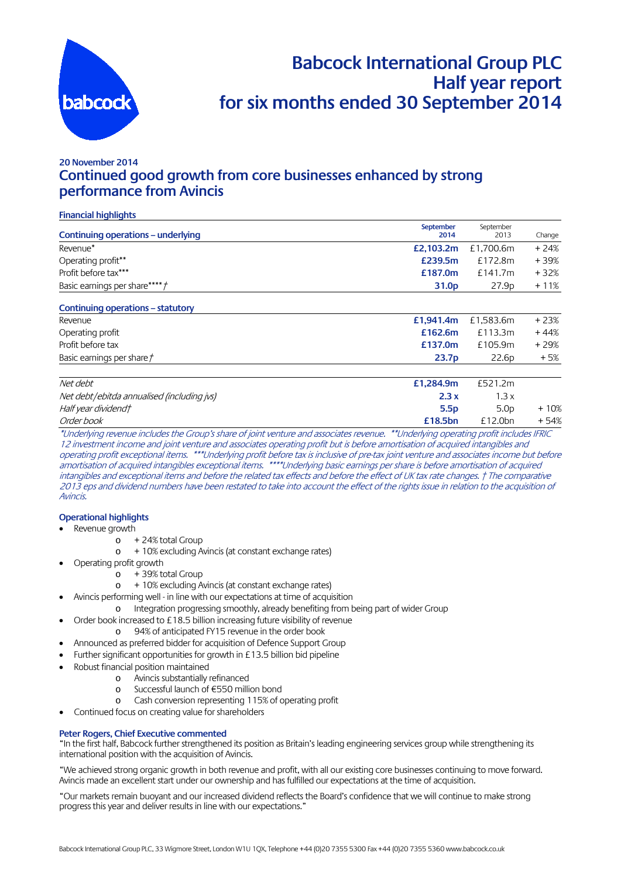

## **Babcock International Group PLC Half year report for six months ended 30 September 2014**

## **20 November 2014 Continued good growth from core businesses enhanced by strong performance from Avincis**

### **Financial highlights**

| Continuing operations - underlying         | September<br>2014 | September<br>2013 | Change |
|--------------------------------------------|-------------------|-------------------|--------|
| Revenue*                                   | £2,103.2m         | £1,700.6m         | $+24%$ |
| Operating profit**                         | £239.5m           | £172.8m           | +39%   |
| Profit before tax***                       | £187.0m           | £141.7m           | $+32%$ |
| Basic earnings per share*****              | 31.0 <sub>p</sub> | 27.9 <sub>p</sub> | $+11%$ |
| Continuing operations – statutory          |                   |                   |        |
| Revenue                                    | £1,941.4m         | £1,583.6m         | $+23%$ |
| Operating profit                           | £162.6m           | £113.3m           | $+44%$ |
| Profit before tax                          | £137.0m           | £105.9m           | $+29%$ |
| Basic earnings per share $\ddot{\tau}$     | 23.7 <sub>p</sub> | 22.6 <sub>p</sub> | $+5%$  |
| Net debt                                   | £1,284.9m         | £521.2m           |        |
| Net debt/ebitda annualised (including jvs) | 2.3x              | 1.3x              |        |
| Half year dividend†                        | 5.5p              | 5.0 <sub>D</sub>  | $+10%$ |
| Order book                                 | £18.5bn           | £12.0bn           | $+54%$ |

\*Underlying revenue includes the Group's share of joint venture and associates revenue. \*\*Underlying operating profit includes IFRIC 12 investment income and joint venture and associates operating profit but is before amortisation of acquired intangibles and operating profit exceptional items. \*\*\*Underlying profit before tax is inclusive of pre-tax joint venture and associates income but before amortisation of acquired intangibles exceptional items. \*\*\*\*Underlying basic earnings per share is before amortisation of acquired intangibles and exceptional items and before the related tax effects and before the effect of UK tax rate changes. † The comparative 2013 eps and dividend numbers have been restated to take into account the effect of the rights issue in relation to the acquisition of Avincis.

### **Operational highlights**

- Revenue growth
	- o + 24% total Group
	- o + 10% excluding Avincis (at constant exchange rates)
	- Operating profit growth
		- o + 39% total Group
		- o + 10% excluding Avincis (at constant exchange rates)
	- Avincis performing well in line with our expectations at time of acquisition
		- o Integration progressing smoothly, already benefiting from being part of wider Group
- Order book increased to £18.5 billion increasing future visibility of revenue
	- o 94% of anticipated FY15 revenue in the order book
- Announced as preferred bidder for acquisition of Defence Support Group
	- Further significant opportunities for growth in £13.5 billion bid pipeline
- Robust financial position maintained
	- o Avincis substantially refinanced
	- o Successful launch of €550 million bond
	- o Cash conversion representing 115% of operating profit
- Continued focus on creating value for shareholders

#### **Peter Rogers, Chief Executive commented**

"In the first half, Babcock further strengthened its position as Britain's leading engineering services group while strengthening its international position with the acquisition of Avincis.

"We achieved strong organic growth in both revenue and profit, with all our existing core businesses continuing to move forward. Avincis made an excellent start under our ownership and has fulfilled our expectations at the time of acquisition.

"Our markets remain buoyant and our increased dividend reflects the Board's confidence that we will continue to make strong progress this year and deliver results in line with our expectations."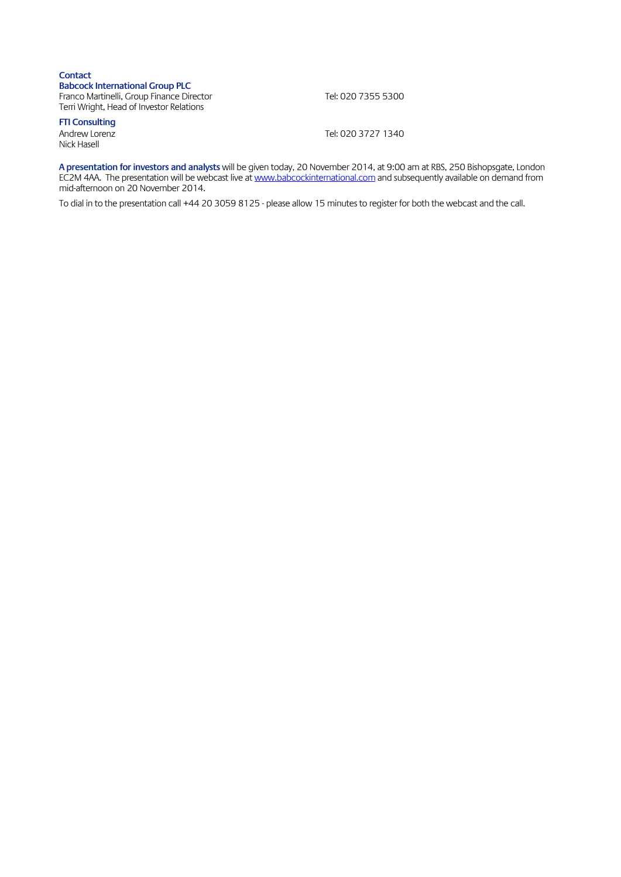### **Contact Babcock International Group PLC** Franco Martinelli, Group Finance Director Tel: 020 7355 5300 Terri Wright, Head of Investor Relations

**FTI Consulting**  Nick Hasell

Tel: 020 3727 1340

**A presentation for investors and analysts** will be given today, 20 November 2014, at 9:00 am at RBS, 250 Bishopsgate, London EC2M 4AA. The presentation will be webcast live a[t www.babcockinternational.com](http://www.babcockinternational.com/) and subsequently available on demand from mid-afternoon on 20 November 2014.

To dial in to the presentation call +44 20 3059 8125 - please allow 15 minutes to register for both the webcast and the call.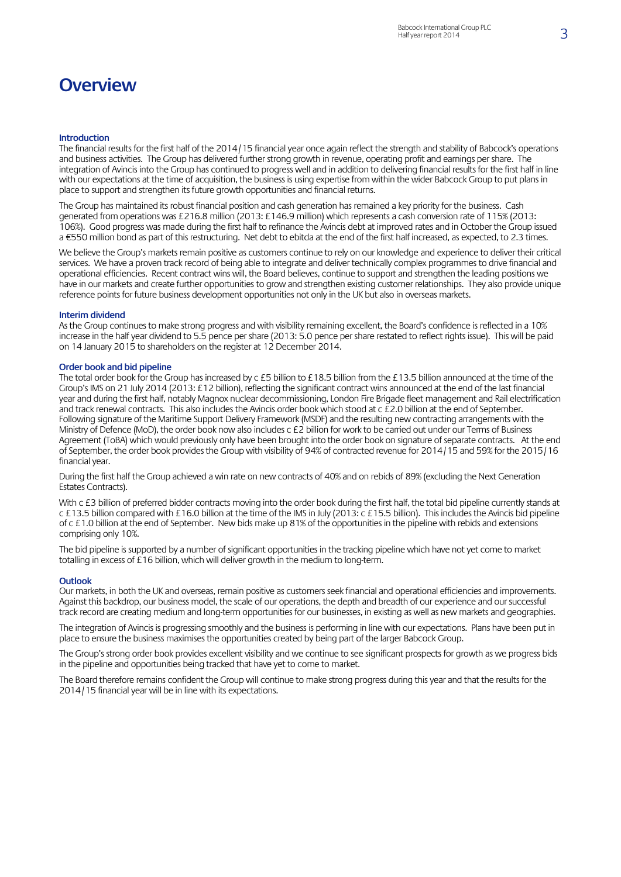## **Overview**

#### **Introduction**

The financial results for the first half of the 2014/15 financial year once again reflect the strength and stability of Babcock's operations and business activities. The Group has delivered further strong growth in revenue, operating profit and earnings per share. The integration of Avincis into the Group has continued to progress well and in addition to delivering financial results for the first half in line with our expectations at the time of acquisition, the business is using expertise from within the wider Babcock Group to put plans in place to support and strengthen its future growth opportunities and financial returns.

The Group has maintained its robust financial position and cash generation has remained a key priority for the business. Cash generated from operations was £216.8 million (2013: £146.9 million) which represents a cash conversion rate of 115% (2013: 106%). Good progress was made during the first half to refinance the Avincis debt at improved rates and in October the Group issued a €550 million bond as part of this restructuring. Net debt to ebitda at the end of the first half increased, as expected, to 2.3 times.

We believe the Group's markets remain positive as customers continue to rely on our knowledge and experience to deliver their critical services. We have a proven track record of being able to integrate and deliver technically complex programmes to drive financial and operational efficiencies. Recent contract wins will, the Board believes, continue to support and strengthen the leading positions we have in our markets and create further opportunities to grow and strengthen existing customer relationships. They also provide unique reference points for future business development opportunities not only in the UK but also in overseas markets.

#### **Interim dividend**

As the Group continues to make strong progress and with visibility remaining excellent, the Board's confidence is reflected in a 10% increase in the half year dividend to 5.5 pence per share (2013: 5.0 pence per share restated to reflect rights issue). This will be paid on 14 January 2015 to shareholders on the register at 12 December 2014.

#### **Order book and bid pipeline**

The total order book for the Group has increased by c £5 billion to £18.5 billion from the £13.5 billion announced at the time of the Group's IMS on 21 July 2014 (2013: £12 billion), reflecting the significant contract wins announced at the end of the last financial year and during the first half, notably Magnox nuclear decommissioning, London Fire Brigade fleet management and Rail electrification and track renewal contracts. This also includes the Avincis order book which stood at c £2.0 billion at the end of September. Following signature of the Maritime Support Delivery Framework (MSDF) and the resulting new contracting arrangements with the Ministry of Defence (MoD), the order book now also includes c £2 billion for work to be carried out under our Terms of Business Agreement (ToBA) which would previously only have been brought into the order book on signature of separate contracts. At the end of September, the order book provides the Group with visibility of 94% of contracted revenue for 2014/15 and 59% for the 2015/16 financial year.

During the first half the Group achieved a win rate on new contracts of 40% and on rebids of 89% (excluding the Next Generation Estates Contracts).

With c £3 billion of preferred bidder contracts moving into the order book during the first half, the total bid pipeline currently stands at c £13.5 billion compared with £16.0 billion at the time of the IMS in July (2013: c £15.5 billion). This includesthe Avincis bid pipeline of c £1.0 billion at the end of September. New bids make up 81% of the opportunities in the pipeline with rebids and extensions comprising only 10%.

The bid pipeline is supported by a number of significant opportunities in the tracking pipeline which have not yet come to market totalling in excess of £16 billion, which will deliver growth in the medium to long-term.

#### **Outlook**

Our markets, in both the UK and overseas, remain positive as customers seek financial and operational efficiencies and improvements. Against this backdrop, our business model, the scale of our operations, the depth and breadth of our experience and our successful track record are creating medium and long-term opportunities for our businesses, in existing as well as new markets and geographies.

The integration of Avincis is progressing smoothly and the business is performing in line with our expectations. Plans have been put in place to ensure the business maximises the opportunities created by being part of the larger Babcock Group.

The Group's strong order book provides excellent visibility and we continue to see significant prospects for growth as we progress bids in the pipeline and opportunities being tracked that have yet to come to market.

The Board therefore remains confident the Group will continue to make strong progress during this year and that the results for the 2014/15 financial year will be in line with its expectations.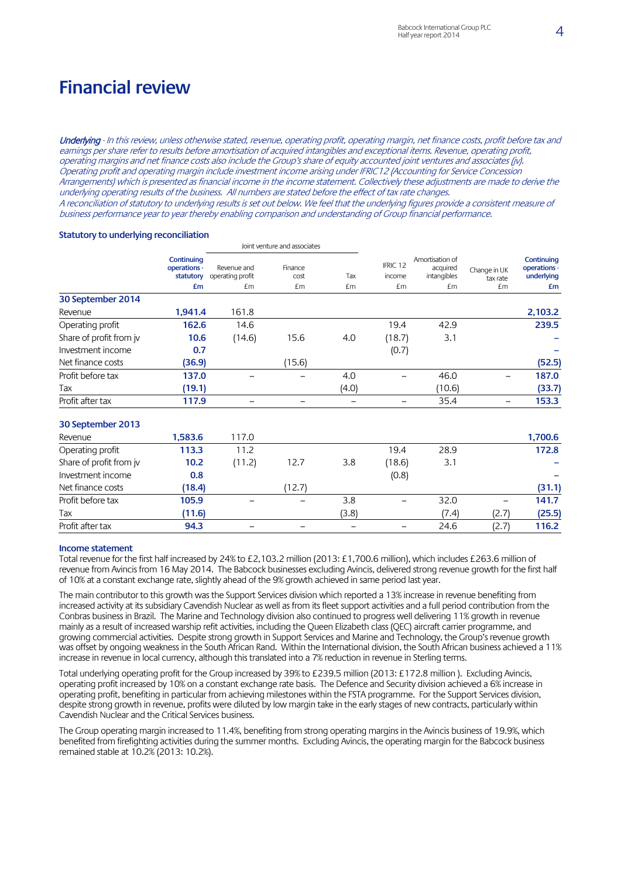## **Financial review**

Underlying - In this review, unless otherwise stated, revenue, operating profit, operating margin, net finance costs, profit before tax and earnings per share refer to results before amortisation of acquired intangibles and exceptional items. Revenue, operating profit, operating margins and net finance costs also include the Group's share of equity accounted joint ventures and associates (jv). Operating profit and operating margin include investment income arising under IFRIC12 (Accounting for Service Concession Arrangements) which is presented as financial income in the income statement. Collectively these adjustments are made to derive the underlying operating results of the business. All numbers are stated before the effect of tax rate changes. A reconciliation of statutory to underlying results is set out below. We feel that the underlying figures provide a consistent measure of business performance year to year thereby enabling comparison and understanding of Group financial performance.

#### Joint venture and associates **Continuing operations statutory £m** Revenue and operating profit £m Finance cost £m Tax £m IFRIC 12 income £m Amortisation of acquired intangibles £m Change in UK tax rate £m **Continuing operations underlying £m 30 September 2014** Revenue **1,941.4** 161.8 **2,103.2** Operating profit **162.6** 14.6 19.4 42.9 **239.5** Share of profit from jv **10.6** (14.6) 15.6 4.0 (18.7) 3.1 **–** Investment income **0.7** (0.7) **–** Net finance costs **(36.9)** (15.6) **(52.5)** Profit before tax **137.0** – – 4.0 – 46.0 – **187.0** Tax **(19.1)** (4.0) (10.6) **(33.7)** Profit after tax **117.9** – – – – 35.4 – **153.3 30 September 2013** Revenue **1,583.6** 117.0 **1,700.6** Operating profit **113.3** 11.2 19.4 28.9 **172.8** Share of profit from jv **10.2** (11.2) 12.7 3.8 (18.6) 3.1 **–** Investment income **0.8** (0.8) **–** Net finance costs **(18.4)** (12.7) **(31.1)** Profit before tax **105.9** – – 3.8 – 32.0 – **141.7** Tax **(11.6)** (3.8) (7.4) (2.7) **(25.5)** Profit after tax **94.3** – – – – 24.6 (2.7) **116.2**

#### **Statutory to underlying reconciliation**

### **Income statement**

Total revenue for the first half increased by 24% to £2,103.2 million (2013: £1,700.6 million), which includes £263.6 million of revenue from Avincis from 16 May 2014. The Babcock businesses excluding Avincis, delivered strong revenue growth for the first half of 10% at a constant exchange rate, slightly ahead of the 9% growth achieved in same period last year.

The main contributor to this growth was the Support Services division which reported a 13% increase in revenue benefiting from increased activity at its subsidiary Cavendish Nuclear as well as from its fleet support activities and a full period contribution from the Conbras business in Brazil. The Marine and Technology division also continued to progress well delivering 11% growth in revenue mainly as a result of increased warship refit activities, including the Queen Elizabeth class (QEC) aircraft carrier programme, and growing commercial activities. Despite strong growth in Support Services and Marine and Technology, the Group's revenue growth was offset by ongoing weakness in the South African Rand. Within the International division, the South African business achieved a 11% increase in revenue in local currency, although this translated into a 7% reduction in revenue in Sterling terms.

Total underlying operating profit for the Group increased by 39% to £239.5 million (2013: £172.8 million ). Excluding Avincis, operating profit increased by 10% on a constant exchange rate basis. The Defence and Security division achieved a 6% increase in operating profit, benefiting in particular from achieving milestones within the FSTA programme. For the Support Services division, despite strong growth in revenue, profits were diluted by low margin take in the early stages of new contracts, particularly within Cavendish Nuclear and the Critical Services business.

The Group operating margin increased to 11.4%, benefiting from strong operating margins in the Avincis business of 19.9%, which benefited from firefighting activities during the summer months. Excluding Avincis, the operating margin for the Babcock business remained stable at 10.2% (2013: 10.2%).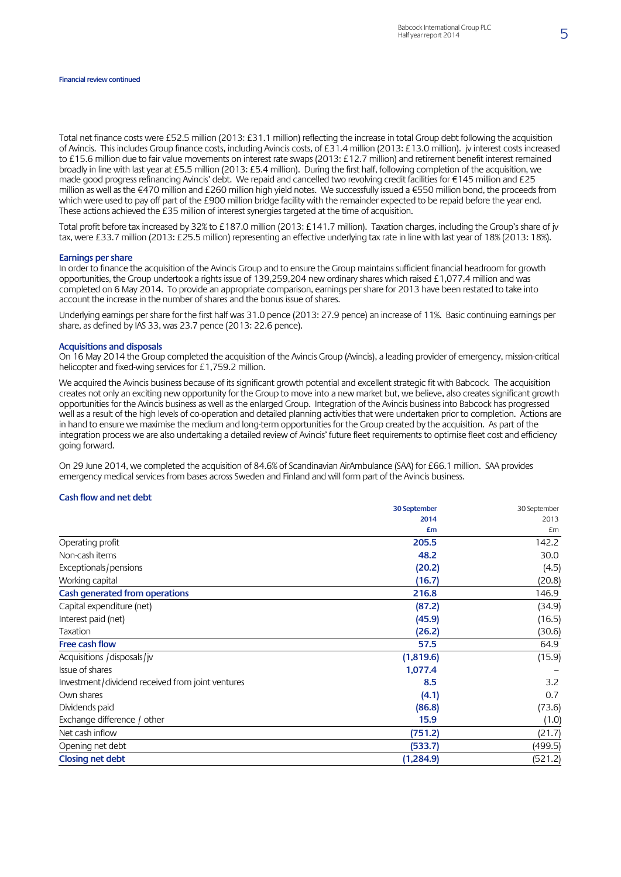Total net finance costs were £52.5 million (2013: £31.1 million) reflecting the increase in total Group debt following the acquisition of Avincis. This includes Group finance costs, including Avincis costs, of £31.4 million (2013: £13.0 million). jv interest costs increased to £15.6 million due to fair value movements on interest rate swaps(2013: £12.7 million) and retirement benefit interest remained broadly in line with last year at £5.5 million (2013: £5.4 million). During the first half, following completion of the acquisition, we made good progress refinancing Avincis' debt. We repaid and cancelled two revolving credit facilities for €145 million and £25 million as well as the €470 million and £260 million high yield notes. We successfully issued a €550 million bond, the proceeds from which were used to pay off part of the £900 million bridge facility with the remainder expected to be repaid before the year end. These actions achieved the £35 million of interest synergies targeted at the time of acquisition.

Total profit before tax increased by 32% to £187.0 million (2013: £141.7 million). Taxation charges, including the Group's share of jv tax, were £33.7 million (2013: £25.5 million) representing an effective underlying tax rate in line with last year of 18% (2013: 18%).

#### **Earnings per share**

In order to finance the acquisition of the Avincis Group and to ensure the Group maintains sufficient financial headroom for growth opportunities, the Group undertook a rights issue of 139,259,204 new ordinary shares which raised £1,077.4 million and was completed on 6 May 2014. To provide an appropriate comparison, earnings per share for 2013 have been restated to take into account the increase in the number of shares and the bonus issue of shares.

Underlying earnings per share for the first half was 31.0 pence (2013: 27.9 pence) an increase of 11%. Basic continuing earnings per share, as defined by IAS 33, was 23.7 pence (2013: 22.6 pence).

#### **Acquisitions and disposals**

On 16 May 2014 the Group completed the acquisition of the Avincis Group (Avincis), a leading provider of emergency, mission-critical helicopter and fixed-wing services for £1,759.2 million.

We acquired the Avincis business because of its significant growth potential and excellent strategic fit with Babcock. The acquisition creates not only an exciting new opportunity for the Group to move into a new market but, we believe, also creates significant growth opportunities for the Avincis business as well as the enlarged Group. Integration of the Avincis business into Babcock has progressed well as a result of the high levels of co-operation and detailed planning activities that were undertaken prior to completion. Actions are in hand to ensure we maximise the medium and long-term opportunities for the Group created by the acquisition. As part of the integration process we are also undertaking a detailed review of Avincis' future fleet requirements to optimise fleet cost and efficiency going forward.

On 29 June 2014, we completed the acquisition of 84.6% of Scandinavian AirAmbulance (SAA) for £66.1 million. SAA provides emergency medical services from bases across Sweden and Finland and will form part of the Avincis business.

#### **Cash flow and net debt**

|                                                  | 30 September | 30 September |
|--------------------------------------------------|--------------|--------------|
|                                                  | 2014         | 2013         |
|                                                  | £m           | £m           |
| Operating profit                                 | 205.5        | 142.2        |
| Non-cash items                                   | 48.2         | 30.0         |
| Exceptionals/pensions                            | (20.2)       | (4.5)        |
| Working capital                                  | (16.7)       | (20.8)       |
| Cash generated from operations                   | 216.8        | 146.9        |
| Capital expenditure (net)                        | (87.2)       | (34.9)       |
| Interest paid (net)                              | (45.9)       | (16.5)       |
| Taxation                                         | (26.2)       | (30.6)       |
| Free cash flow                                   | 57.5         | 64.9         |
| Acquisitions / disposals/jv                      | (1,819.6)    | (15.9)       |
| Issue of shares                                  | 1,077.4      |              |
| Investment/dividend received from joint ventures | 8.5          | 3.2          |
| Own shares                                       | (4.1)        | 0.7          |
| Dividends paid                                   | (86.8)       | (73.6)       |
| Exchange difference / other                      | 15.9         | (1.0)        |
| Net cash inflow                                  | (751.2)      | (21.7)       |
| Opening net debt                                 | (533.7)      | (499.5)      |
| <b>Closing net debt</b>                          | (1, 284.9)   | (521.2)      |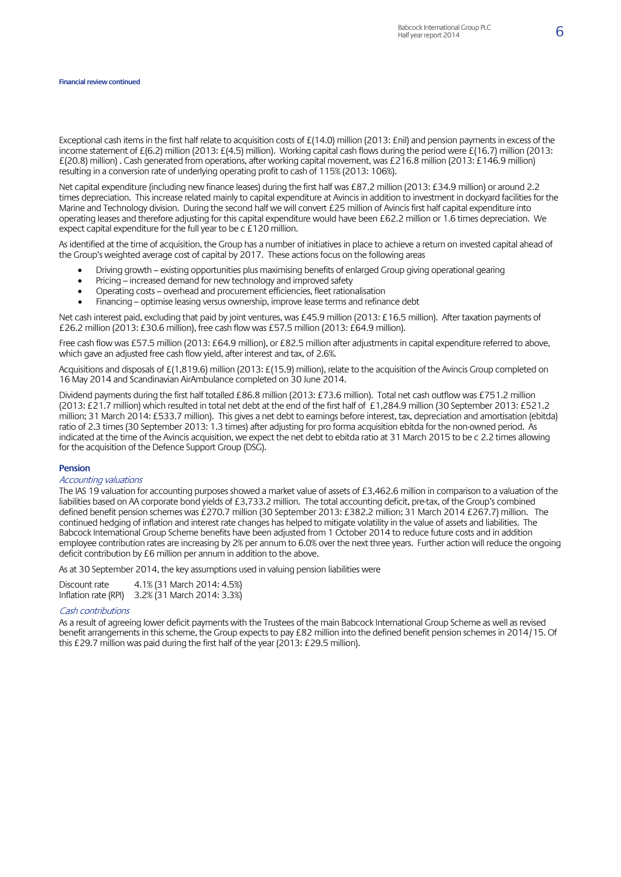#### **Financial review continued**

Exceptional cash items in the first half relate to acquisition costs of £(14.0) million (2013: £nil) and pension payments in excess of the income statement of £(6.2) million (2013: £(4.5) million). Working capital cash flows during the period were £(16.7) million (2013: £(20.8) million) . Cash generated from operations, after working capital movement, was £216.8 million (2013: £146.9 million) resulting in a conversion rate of underlying operating profit to cash of 115% (2013: 106%).

Net capital expenditure (including new finance leases) during the first half was £87.2 million (2013: £34.9 million) or around 2.2 times depreciation. This increase related mainly to capital expenditure at Avincis in addition to investment in dockyard facilities for the Marine and Technology division. During the second half we will convert £25 million of Avincis first half capital expenditure into operating leases and therefore adjusting for this capital expenditure would have been £62.2 million or 1.6 times depreciation. We expect capital expenditure for the full year to be c £120 million.

As identified at the time of acquisition, the Group has a number of initiativesin place to achieve a return on invested capital ahead of the Group's weighted average cost of capital by 2017. These actions focus on the following areas

- Driving growth existing opportunities plus maximising benefits of enlarged Group giving operational gearing
- Pricing increased demand for new technology and improved safety
- Operating costs overhead and procurement efficiencies, fleet rationalisation
- Financing optimise leasing versus ownership, improve lease terms and refinance debt

Net cash interest paid, excluding that paid by joint ventures, was £45.9 million (2013: £16.5 million). After taxation payments of £26.2 million (2013: £30.6 million), free cash flow was £57.5 million (2013: £64.9 million).

Free cash flow was £57.5 million (2013: £64.9 million), or £82.5 million after adjustments in capital expenditure referred to above, which gave an adjusted free cash flow yield, after interest and tax, of 2.6%.

Acquisitions and disposals of £(1,819.6) million (2013: £(15.9) million), relate to the acquisition of the Avincis Group completed on 16 May 2014 and Scandinavian AirAmbulance completed on 30 June 2014.

Dividend payments during the first half totalled £86.8 million (2013: £73.6 million). Total net cash outflow was £751.2 million (2013: £21.7 million) which resulted in total net debt at the end of the first half of £1,284.9 million (30 September 2013: £521.2 million; 31 March 2014: £533.7 million). This gives a net debt to earnings before interest, tax, depreciation and amortisation (ebitda) ratio of 2.3 times (30 September 2013: 1.3 times) after adjusting for pro forma acquisition ebitda for the non-owned period. As indicated at the time of the Avincis acquisition, we expect the net debt to ebitda ratio at 31 March 2015 to be c 2.2 times allowing for the acquisition of the Defence Support Group (DSG).

#### **Pension**

#### Accounting valuations

The IAS 19 valuation for accounting purposes showed a market value of assets of £3,462.6 million in comparison to a valuation of the liabilities based on AA corporate bond yields of £3,733.2 million. The total accounting deficit, pre-tax, of the Group's combined defined benefit pension schemes was £270.7 million (30 September 2013: £382.2 million; 31 March 2014 £267.7) million. The continued hedging of inflation and interest rate changes has helped to mitigate volatility in the value of assets and liabilities. The Babcock International Group Scheme benefits have been adjusted from 1 October 2014 to reduce future costs and in addition employee contribution rates are increasing by 2% per annum to 6.0% over the next three years. Further action will reduce the ongoing deficit contribution by £6 million per annum in addition to the above.

As at 30 September 2014, the key assumptions used in valuing pension liabilities were

| Discount rate        | 4.1% (31 March 2014: 4.5%) |
|----------------------|----------------------------|
| Inflation rate (RPI) | 3.2% (31 March 2014: 3.3%) |

#### Cash contributions

As a result of agreeing lower deficit payments with the Trustees of the main Babcock International Group Scheme as well as revised benefit arrangements in this scheme, the Group expects to pay £82 million into the defined benefit pension schemes in 2014/15. Of this £29.7 million was paid during the first half of the year (2013: £29.5 million).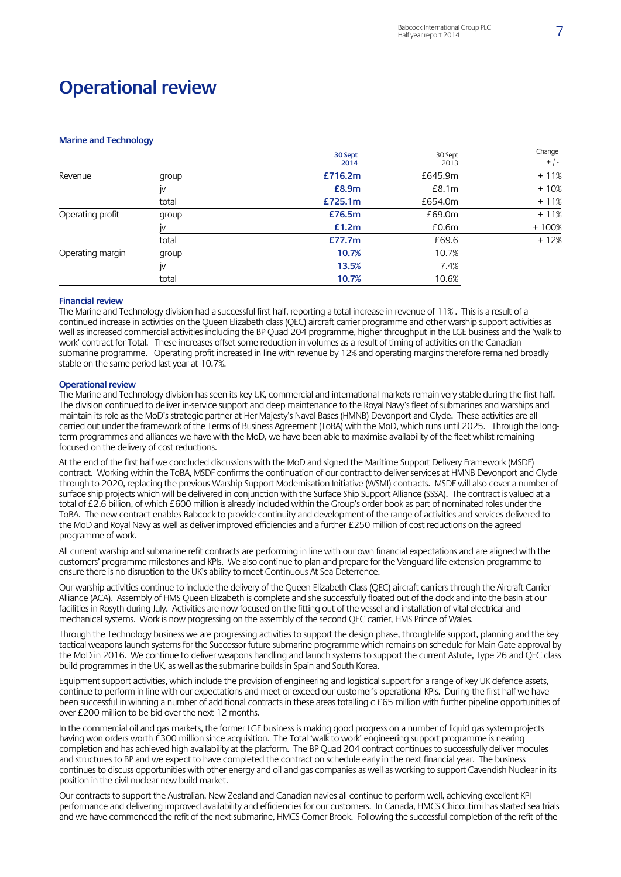## **Operational review**

#### **Marine and Technology**

|                  |       | 30 Sept<br>2014 | 30 Sept<br>2013 | Change<br>$+$   - |
|------------------|-------|-----------------|-----------------|-------------------|
| Revenue          | group | £716.2m         | £645.9m         | $+11%$            |
|                  | IV    | £8.9m           | £8.1m           | $+10%$            |
|                  | total | £725.1m         | £654.0m         | $+11%$            |
| Operating profit | group | £76.5m          | £69.0m          | $+11%$            |
|                  | IV    | £1.2m           | £0.6m           | $+100%$           |
|                  | total | £77.7m          | £69.6           | $+12%$            |
| Operating margin | group | 10.7%           | 10.7%           |                   |
|                  | IV    | 13.5%           | 7.4%            |                   |
|                  | total | 10.7%           | 10.6%           |                   |

#### **Financial review**

The Marine and Technology division had a successful first half, reporting a total increase in revenue of 11% . This is a result of a continued increase in activities on the Queen Elizabeth class (QEC) aircraft carrier programme and other warship support activities as well as increased commercial activities including the BP Quad 204 programme, higher throughput in the LGE business and the 'walk to work' contract for Total. These increases offset some reduction in volumes as a result of timing of activities on the Canadian submarine programme. Operating profit increased in line with revenue by 12% and operating margins therefore remained broadly stable on the same period last year at 10.7%.

#### **Operational review**

The Marine and Technology division has seen its key UK, commercial and international markets remain very stable during the first half. The division continued to deliver in-service support and deep maintenance to the Royal Navy's fleet of submarines and warships and maintain its role as the MoD's strategic partner at Her Majesty's Naval Bases (HMNB) Devonport and Clyde. These activities are all carried out under the framework of the Terms of Business Agreement (ToBA) with the MoD, which runs until 2025. Through the longterm programmes and alliances we have with the MoD, we have been able to maximise availability of the fleet whilst remaining focused on the delivery of cost reductions.

At the end of the first half we concluded discussions with the MoD and signed the Maritime Support Delivery Framework (MSDF) contract. Working within the ToBA, MSDF confirms the continuation of our contract to deliver services at HMNB Devonport and Clyde through to 2020, replacing the previous Warship Support Modernisation Initiative (WSMI) contracts. MSDF will also cover a number of surface ship projects which will be delivered in conjunction with the Surface Ship Support Alliance (SSSA). The contract is valued at a total of £2.6 billion, of which £600 million is already included within the Group's order book as part of nominated roles under the ToBA. The new contract enables Babcock to provide continuity and development of the range of activities and services delivered to the MoD and Royal Navy as well as deliver improved efficiencies and a further £250 million of cost reductions on the agreed programme of work.

All current warship and submarine refit contracts are performing in line with our own financial expectations and are aligned with the customers' programme milestones and KPIs. We also continue to plan and prepare for the Vanguard life extension programme to ensure there is no disruption to the UK's ability to meet Continuous At Sea Deterrence.

Our warship activities continue to include the delivery of the Queen Elizabeth Class (QEC) aircraft carriers through the Aircraft Carrier Alliance (ACA). Assembly of HMS Queen Elizabeth is complete and she successfully floated out of the dock and into the basin at our facilities in Rosyth during July. Activities are now focused on the fitting out of the vessel and installation of vital electrical and mechanical systems. Work is now progressing on the assembly of the second QEC carrier, HMS Prince of Wales.

Through the Technology business we are progressing activities to support the design phase, through-life support, planning and the key tactical weapons launch systems for the Successor future submarine programme which remains on schedule for Main Gate approval by the MoD in 2016. We continue to deliver weapons handling and launch systems to support the current Astute, Type 26 and QEC class build programmes in the UK, as well as the submarine builds in Spain and South Korea.

Equipment support activities, which include the provision of engineering and logistical support for a range of key UK defence assets, continue to perform in line with our expectations and meet or exceed our customer's operational KPIs. During the first half we have been successful in winning a number of additional contracts in these areas totalling c £65 million with further pipeline opportunities of over £200 million to be bid over the next 12 months.

In the commercial oil and gas markets, the former LGE business is making good progress on a number of liquid gas system projects having won orders worth £300 million since acquisition. The Total 'walk to work' engineering support programme is nearing completion and has achieved high availability at the platform. The BP Quad 204 contract continues to successfully deliver modules and structures to BP and we expect to have completed the contract on schedule early in the next financial year. The business continues to discuss opportunities with other energy and oil and gas companies as well as working to support Cavendish Nuclear in its position in the civil nuclear new build market.

Our contracts to support the Australian, New Zealand and Canadian navies all continue to perform well, achieving excellent KPI performance and delivering improved availability and efficiencies for our customers. In Canada, HMCS Chicoutimi has started sea trials and we have commenced the refit of the next submarine, HMCS Corner Brook. Following the successful completion of the refit of the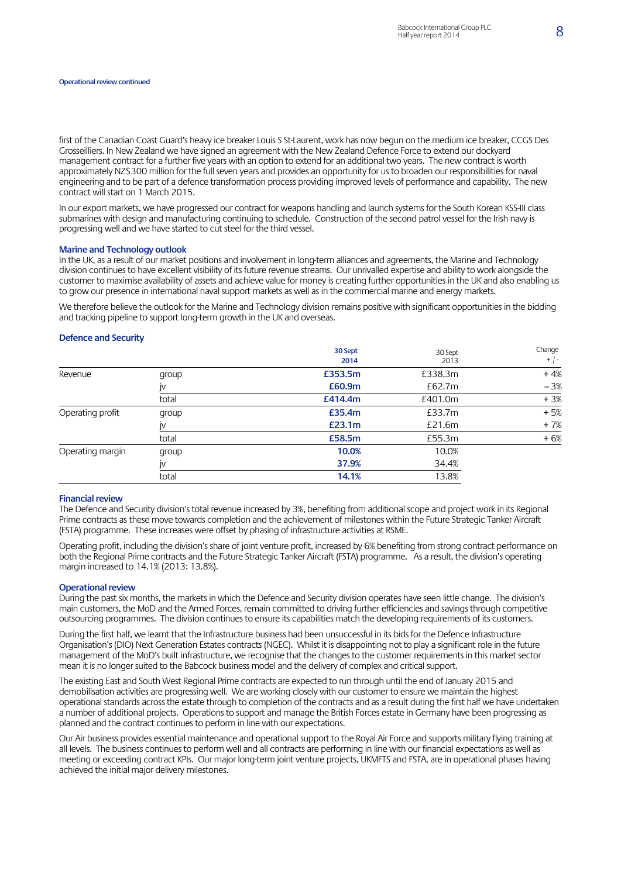#### **Operational review continued**

first of the Canadian Coast Guard's heavy ice breaker Louis S St-Laurent, work has now begun on the medium ice breaker, CCGS Des Grosseilliers. In New Zealand we have signed an agreement with the New Zealand Defence Force to extend our dockyard management contract for a further five years with an option to extend for an additional two years. The new contract is worth approximately NZ\$300 million for the full seven years and provides an opportunity for us to broaden our responsibilities for naval engineering and to be part of a defence transformation process providing improved levels of performance and capability. The new contract will start on 1 March 2015.

In our export markets, we have progressed our contract for weapons handling and launch systems for the South Korean KSS-III class submarines with design and manufacturing continuing to schedule. Construction of the second patrol vessel for the Irish navy is progressing well and we have started to cut steel for the third vessel.

#### **Marine and Technology outlook**

In the UK, as a result of our market positions and involvement in long-term alliances and agreements, the Marine and Technology division continues to have excellent visibility of its future revenue streams. Our unrivalled expertise and ability to work alongside the customer to maximise availability of assets and achieve value for money is creating further opportunities in the UK and also enabling us to grow our presence in international naval support markets as well as in the commercial marine and energy markets.

We therefore believe the outlook for the Marine and Technology division remains positive with significant opportunities in the bidding and tracking pipeline to support long-term growth in the UK and overseas.

#### **Defence and Security**

|                  |       | 30 Sept<br>2014 | 30 Sept<br>2013 | Change<br>$+$   - |
|------------------|-------|-----------------|-----------------|-------------------|
| Revenue          | group | £353.5m         | £338.3m         | $+4%$             |
|                  | IV    | £60.9m          | £62.7m          | $-3%$             |
|                  | total | £414.4m         | £401.0m         | $+3%$             |
| Operating profit | group | £35.4m          | £33.7m          | $+5%$             |
|                  | IV    | £23.1m          | £21.6m          | $+7%$             |
|                  | total | £58.5m          | £55.3m          | $+6%$             |
| Operating margin | group | 10.0%           | 10.0%           |                   |
|                  | IV    | 37.9%           | 34.4%           |                   |
|                  | total | 14.1%           | 13.8%           |                   |

#### **Financial review**

The Defence and Security division's total revenue increased by 3%, benefiting from additional scope and project work in its Regional Prime contracts as these move towards completion and the achievement of milestones within the Future Strategic Tanker Aircraft (FSTA) programme. These increases were offset by phasing of infrastructure activities at RSME.

Operating profit, including the division's share of joint venture profit, increased by 6% benefiting from strong contract performance on both the Regional Prime contracts and the Future Strategic Tanker Aircraft (FSTA) programme. As a result, the division's operating margin increased to 14.1% (2013: 13.8%).

#### **Operational review**

During the past six months, the markets in which the Defence and Security division operates have seen little change. The division's main customers, the MoD and the Armed Forces, remain committed to driving further efficiencies and savings through competitive outsourcing programmes. The division continues to ensure its capabilities match the developing requirements of its customers.

During the first half, we learnt that the Infrastructure business had been unsuccessful in its bids for the Defence Infrastructure Organisation's (DIO) Next Generation Estates contracts (NGEC). Whilst it is disappointing not to play a significant role in the future management of the MoD's built infrastructure, we recognise that the changes to the customer requirements in this market sector mean it is no longer suited to the Babcock business model and the delivery of complex and critical support.

The existing East and South West Regional Prime contracts are expected to run through until the end of January 2015 and demobilisation activities are progressing well. We are working closely with our customer to ensure we maintain the highest operational standards across the estate through to completion of the contracts and as a result during the first half we have undertaken a number of additional projects. Operations to support and manage the British Forces estate in Germany have been progressing as planned and the contract continues to perform in line with our expectations.

Our Air business provides essential maintenance and operational support to the Royal Air Force and supports military flying training at all levels. The business continues to perform well and all contracts are performing in line with our financial expectations as well as meeting or exceeding contract KPIs. Our major long-term joint venture projects, UKMFTS and FSTA, are in operational phases having achieved the initial major delivery milestones.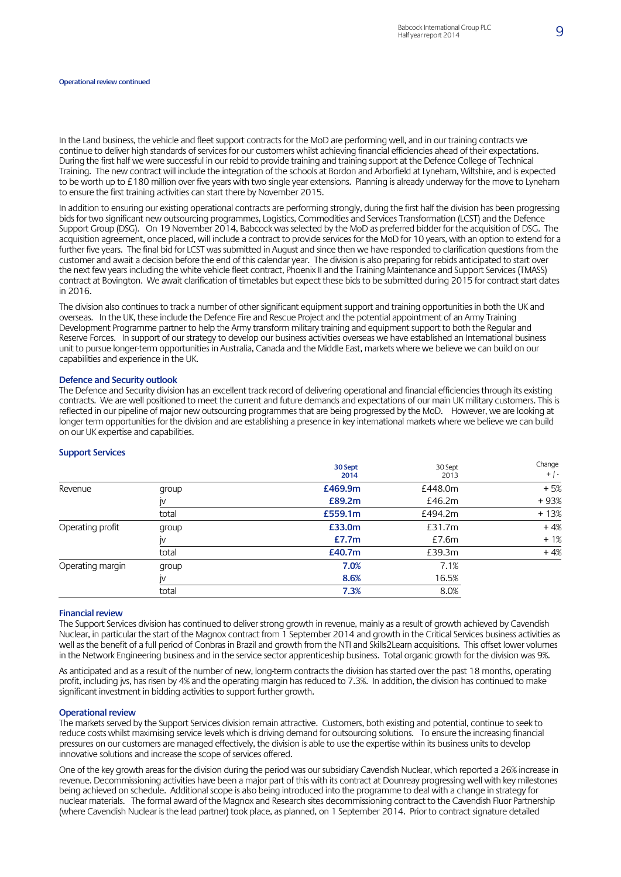In the Land business, the vehicle and fleet support contracts for the MoD are performing well, and in our training contracts we continue to deliver high standards of services for our customers whilst achieving financial efficiencies ahead of their expectations. During the first half we were successful in our rebid to provide training and training support at the Defence College of Technical Training. The new contract will include the integration of the schools at Bordon and Arborfield at Lyneham, Wiltshire, and is expected to be worth up to £180 million over five years with two single year extensions. Planning is already underway for the move to Lyneham to ensure the first training activities can start there by November 2015.

In addition to ensuring our existing operational contracts are performing strongly, during the first half the division has been progressing bids for two significant new outsourcing programmes, Logistics, Commodities and Services Transformation (LCST) and the Defence Support Group (DSG). On 19 November 2014, Babcock was selected by the MoD as preferred bidder for the acquisition of DSG. The acquisition agreement, once placed, will include a contract to provide services for the MoD for 10 years, with an option to extend for a further five years. The final bid for LCST was submitted in August and since then we have responded to clarification questions from the customer and await a decision before the end of this calendar year. The division is also preparing for rebids anticipated to start over the next few years including the white vehicle fleet contract, Phoenix II and the Training Maintenance and Support Services (TMASS) contract at Bovington. We await clarification of timetables but expect these bids to be submitted during 2015 for contract start dates in 2016.

The division also continues to track a number of other significant equipment support and training opportunities in both the UK and overseas. In the UK, these include the Defence Fire and Rescue Project and the potential appointment of an Army Training Development Programme partner to help the Army transform military training and equipment support to both the Regular and Reserve Forces. In support of our strategy to develop our business activities overseas we have established an International business unit to pursue longer-term opportunities in Australia, Canada and the Middle East, markets where we believe we can build on our capabilities and experience in the UK.

#### **Defence and Security outlook**

The Defence and Security division has an excellent track record of delivering operational and financial efficiencies through its existing contracts. We are well positioned to meet the current and future demands and expectations of our main UK military customers. This is reflected in our pipeline of major new outsourcing programmes that are being progressed by the MoD. However, we are looking at longer term opportunities for the division and are establishing a presence in key international markets where we believe we can build on our UK expertise and capabilities.

|                  |       | 30 Sept<br>2014 | 30 Sept<br>2013 | Change<br>$+$   - |
|------------------|-------|-----------------|-----------------|-------------------|
| Revenue          | group | £469.9m         | £448.0m         | $+5%$             |
|                  | IV    | £89.2m          | £46.2m          | +93%              |
|                  | total | £559.1m         | £494.2m         | $+13%$            |
| Operating profit | group | £33.0m          | £31.7m          | $+4%$             |
|                  | I۷    | £7.7m           | £7.6m           | $+1%$             |
|                  | total | £40.7m          | £39.3m          | $+4%$             |
| Operating margin | group | 7.0%            | 7.1%            |                   |
|                  | IV    | 8.6%            | 16.5%           |                   |
|                  | total | 7.3%            | 8.0%            |                   |

### **Support Services**

#### **Financial review**

The Support Services division has continued to deliver strong growth in revenue, mainly as a result of growth achieved by Cavendish Nuclear, in particular the start of the Magnox contract from 1 September 2014 and growth in the Critical Services business activities as well as the benefit of a full period of Conbras in Brazil and growth from the NTI and Skills2Learn acquisitions. This offset lower volumes in the Network Engineering business and in the service sector apprenticeship business. Total organic growth for the division was 9%.

As anticipated and as a result of the number of new, long-term contracts the division has started over the past 18 months, operating profit, including jvs, has risen by 4% and the operating margin has reduced to 7.3%. In addition, the division has continued to make significant investment in bidding activities to support further growth.

#### **Operational review**

The markets served by the Support Services division remain attractive. Customers, both existing and potential, continue to seek to reduce costs whilst maximising service levels which is driving demand for outsourcing solutions. To ensure the increasing financial pressures on our customers are managed effectively, the division is able to use the expertise within its business units to develop innovative solutions and increase the scope of services offered.

One of the key growth areas for the division during the period was oursubsidiary Cavendish Nuclear, which reported a 26% increase in revenue. Decommissioning activities have been a major part of this with its contract at Dounreay progressing well with key milestones being achieved on schedule. Additional scope is also being introduced into the programme to deal with a change in strategy for nuclear materials. The formal award of the Magnox and Research sites decommissioning contract to the Cavendish Fluor Partnership (where Cavendish Nuclear is the lead partner) took place, as planned, on 1 September 2014. Prior to contract signature detailed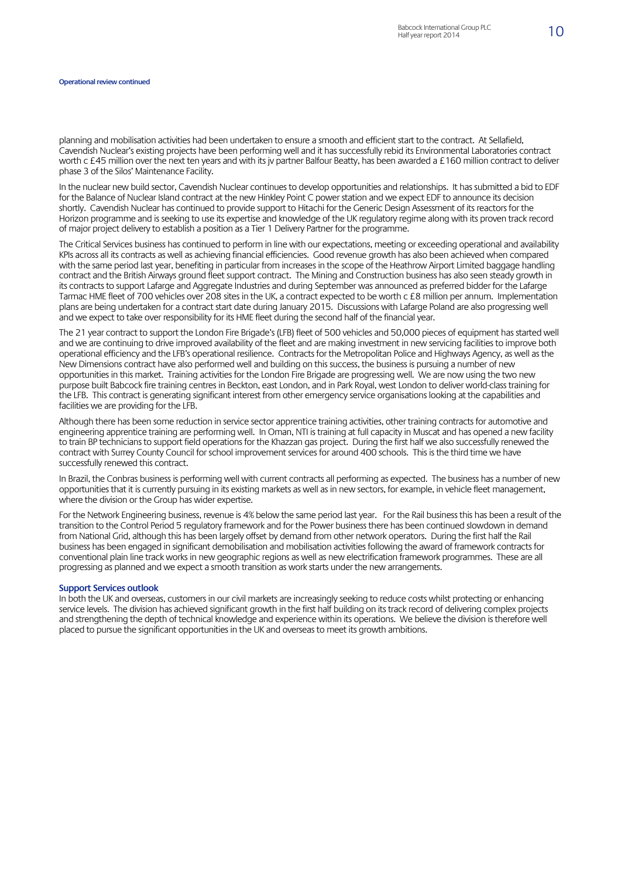planning and mobilisation activities had been undertaken to ensure a smooth and efficient start to the contract. At Sellafield, Cavendish Nuclear's existing projects have been performing well and it has successfully rebid its Environmental Laboratories contract worth c £45 million over the next ten years and with its jv partner Balfour Beatty, has been awarded a £160 million contract to deliver phase 3 of the Silos' Maintenance Facility.

In the nuclear new build sector, Cavendish Nuclear continues to develop opportunities and relationships. It has submitted a bid to EDF for the Balance of Nuclear Island contract at the new Hinkley Point C power station and we expect EDF to announce its decision shortly. Cavendish Nuclear has continued to provide support to Hitachi for the Generic Design Assessment of its reactors for the Horizon programme and is seeking to use its expertise and knowledge of the UK regulatory regime along with its proven track record of major project delivery to establish a position as a Tier 1 Delivery Partner for the programme.

The Critical Services business has continued to perform in line with our expectations, meeting or exceeding operational and availability KPIs across all its contracts as well as achieving financial efficiencies. Good revenue growth has also been achieved when compared with the same period last year, benefiting in particular from increases in the scope of the Heathrow Airport Limited baggage handling contract and the British Airways ground fleet support contract. The Mining and Construction business has also seen steady growth in its contracts to support Lafarge and Aggregate Industries and during September was announced as preferred bidder for the Lafarge Tarmac HME fleet of 700 vehicles over 208 sites in the UK, a contract expected to be worth c £8 million per annum. Implementation plans are being undertaken for a contract start date during January 2015. Discussions with Lafarge Poland are also progressing well and we expect to take over responsibility for its HME fleet during the second half of the financial year.

The 21 year contract to support the London Fire Brigade's (LFB) fleet of 500 vehicles and 50,000 pieces of equipment has started well and we are continuing to drive improved availability of the fleet and are making investment in new servicing facilities to improve both operational efficiency and the LFB's operational resilience. Contracts for the Metropolitan Police and Highways Agency, as well as the New Dimensions contract have also performed well and building on this success, the business is pursuing a number of new opportunities in this market. Training activities for the London Fire Brigade are progressing well. We are now using the two new purpose built Babcock fire training centres in Beckton, east London, and in Park Royal, west London to deliver world-class training for the LFB. This contract is generating significant interest from other emergency service organisations looking at the capabilities and facilities we are providing for the LFB.

Although there has been some reduction in service sector apprentice training activities, other training contracts for automotive and engineering apprentice training are performing well. In Oman, NTI is training at full capacity in Muscat and has opened a new facility to train BP technicians to support field operations for the Khazzan gas project. During the first half we also successfully renewed the contract with Surrey County Council for school improvement services for around 400 schools. This is the third time we have successfully renewed this contract.

In Brazil, the Conbras business is performing well with current contracts all performing as expected. The business has a number of new opportunities that it is currently pursuing in its existing markets as well as in new sectors, for example, in vehicle fleet management, where the division or the Group has wider expertise.

For the Network Engineering business, revenue is 4% below the same period last year. For the Rail business this has been a result of the transition to the Control Period 5 regulatory framework and for the Power business there has been continued slowdown in demand from National Grid, although this has been largely offset by demand from other network operators. During the first half the Rail business has been engaged in significant demobilisation and mobilisation activities following the award of framework contracts for conventional plain line track works in new geographic regions as well as new electrification framework programmes. These are all progressing as planned and we expect a smooth transition as work starts under the new arrangements.

#### **Support Services outlook**

In both the UK and overseas, customers in our civil markets are increasingly seeking to reduce costs whilst protecting or enhancing service levels. The division has achieved significant growth in the first half building on its track record of delivering complex projects and strengthening the depth of technical knowledge and experience within its operations. We believe the division is therefore well placed to pursue the significant opportunities in the UK and overseas to meet its growth ambitions.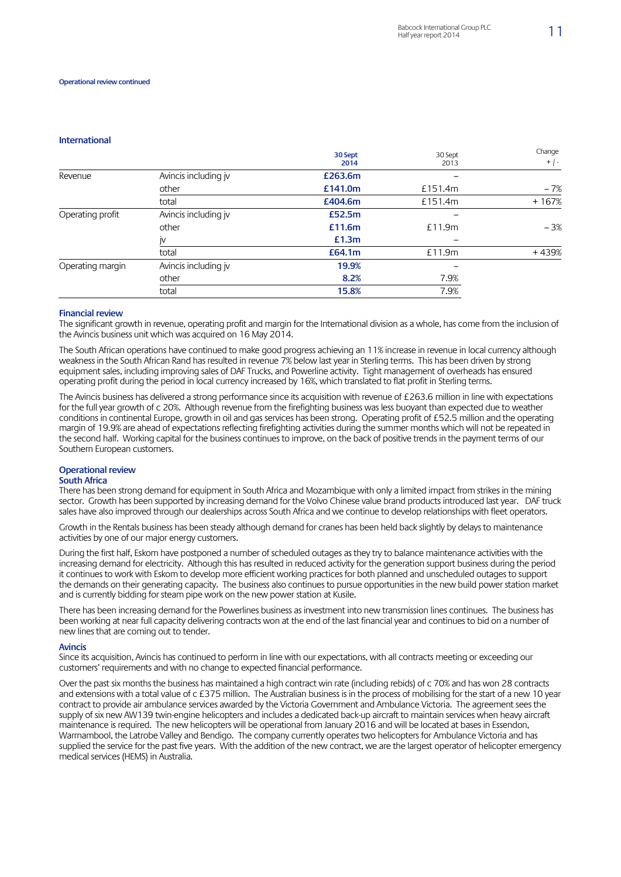#### **International**

|                  |                      | 30 Sept<br>2014 | 30 Sept<br>2013 | Change<br>$+$   - |
|------------------|----------------------|-----------------|-----------------|-------------------|
| Revenue          | Avincis including jv | £263.6m         |                 |                   |
|                  | other                | £141.0m         | £151.4m         | $-7%$             |
|                  | total                | £404.6m         | £151.4m         | $+167%$           |
| Operating profit | Avincis including jv | £52.5m          |                 |                   |
|                  | other                | £11.6m          | £11.9m          | $-3%$             |
|                  | IV                   | £1.3m           |                 |                   |
|                  | total                | £64.1m          | £11.9m          | +439%             |
| Operating margin | Avincis including jv | 19.9%           |                 |                   |
|                  | other                | 8.2%            | 7.9%            |                   |
|                  | total                | 15.8%           | 7.9%            |                   |

#### **Financial review**

The significant growth in revenue, operating profit and margin for the International division as a whole, has come from the inclusion of the Avincis business unit which was acquired on 16 May 2014.

The South African operations have continued to make good progress achieving an 11% increase in revenue in local currency although weakness in the South African Rand has resulted in revenue 7% below last year in Sterling terms. This has been driven by strong equipment sales, including improving sales of DAF Trucks, and Powerline activity. Tight management of overheads has ensured operating profit during the period in local currency increased by 16%, which translated to flat profit in Sterling terms.

The Avincis business has delivered a strong performance since its acquisition with revenue of £263.6 million in line with expectations for the full year growth of c 20%. Although revenue from the firefighting business was less buoyant than expected due to weather conditions in continental Europe, growth in oil and gas services has been strong. Operating profit of £52.5 million and the operating margin of 19.9% are ahead of expectations reflecting firefighting activities during the summer months which will not be repeated in the second half. Working capital for the business continues to improve, on the back of positive trends in the payment terms of our Southern European customers.

### **Operational review**

### **South Africa**

There has been strong demand for equipment in South Africa and Mozambique with only a limited impact from strikes in the mining sector. Growth has been supported by increasing demand for the Volvo Chinese value brand products introduced last year. DAF truck sales have also improved through our dealerships across South Africa and we continue to develop relationships with fleet operators.

Growth in the Rentals business has been steady although demand for cranes has been held back slightly by delays to maintenance activities by one of our major energy customers.

During the first half, Eskom have postponed a number of scheduled outages as they try to balance maintenance activities with the increasing demand for electricity. Although this has resulted in reduced activity for the generation support business during the period it continues to work with Eskom to develop more efficient working practices for both planned and unscheduled outages to support the demands on their generating capacity. The business also continues to pursue opportunities in the new build power station market and is currently bidding for steam pipe work on the new power station at Kusile.

There has been increasing demand for the Powerlines business as investment into new transmission lines continues. The business has been working at near full capacity delivering contracts won at the end of the last financial year and continues to bid on a number of new lines that are coming out to tender.

#### **Avincis**

Since its acquisition, Avincis has continued to perform in line with our expectations, with all contracts meeting or exceeding our customers' requirements and with no change to expected financial performance.

Over the past six months the business has maintained a high contract win rate (including rebids) of c 70% and has won 28 contracts and extensions with a total value of c £375 million. The Australian business is in the process of mobilising for the start of a new 10 year contract to provide air ambulance services awarded by the Victoria Government and Ambulance Victoria. The agreement sees the supply of six new AW139 twin-engine helicopters and includes a dedicated back-up aircraft to maintain services when heavy aircraft maintenance is required. The new helicopters will be operational from January 2016 and will be located at bases in Essendon, Warrnambool, the Latrobe Valley and Bendigo. The company currently operates two helicopters for Ambulance Victoria and has supplied the service for the past five years. With the addition of the new contract, we are the largest operator of helicopter emergency medical services (HEMS) in Australia.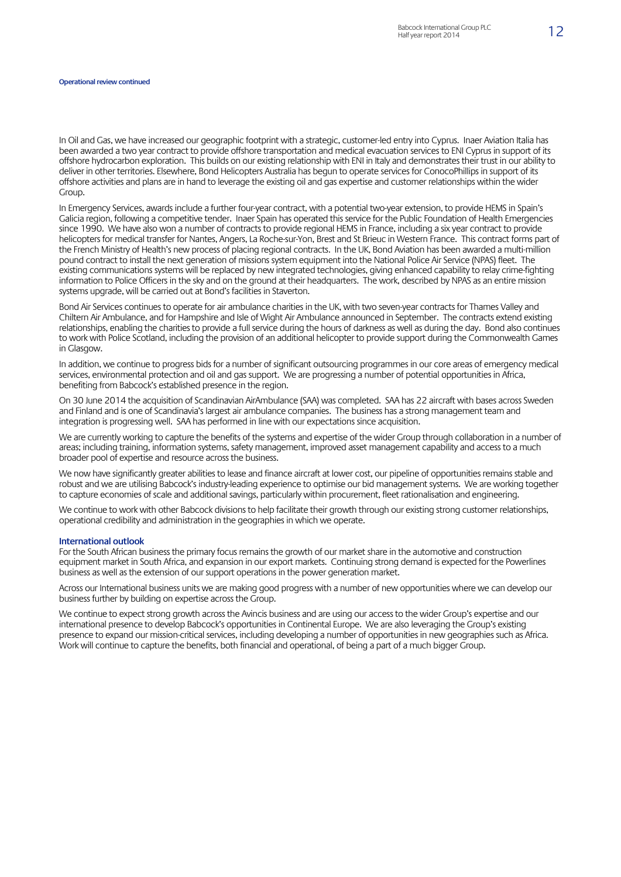In Oil and Gas, we have increased our geographic footprint with a strategic, customer-led entry into Cyprus. Inaer Aviation Italia has been awarded a two year contract to provide offshore transportation and medical evacuation services to ENI Cyprus in support of its offshore hydrocarbon exploration. This builds on our existing relationship with ENI in Italy and demonstrates their trust in our ability to deliver in other territories. Elsewhere, Bond Helicopters Australia has begun to operate services for ConocoPhillips in support of its offshore activities and plans are in hand to leverage the existing oil and gas expertise and customer relationships within the wider Group.

In Emergency Services, awards include a further four-year contract, with a potential two-year extension, to provide HEMS in Spain's Galicia region, following a competitive tender. Inaer Spain has operated this service for the Public Foundation of Health Emergencies since 1990. We have also won a number of contracts to provide regional HEMS in France, including a six year contract to provide helicopters for medical transfer for Nantes, Angers, La Roche-sur-Yon, Brest and St Brieuc in Western France. This contract forms part of the French Ministry of Health's new process of placing regional contracts. In the UK, Bond Aviation has been awarded a multi-million pound contract to install the next generation of missions system equipment into the National Police Air Service (NPAS) fleet. The existing communications systems will be replaced by new integrated technologies, giving enhanced capability to relay crime-fighting information to Police Officers in the sky and on the ground at their headquarters. The work, described by NPAS as an entire mission systems upgrade, will be carried out at Bond's facilities in Staverton.

Bond Air Services continues to operate for air ambulance charities in the UK, with two seven-year contracts for Thames Valley and Chiltern Air Ambulance, and for Hampshire and Isle of Wight Air Ambulance announced in September. The contracts extend existing relationships, enabling the charities to provide a full service during the hours of darkness as well as during the day. Bond also continues to work with Police Scotland, including the provision of an additional helicopter to provide support during the Commonwealth Games in Glasgow.

In addition, we continue to progress bids for a number of significant outsourcing programmes in our core areas of emergency medical services, environmental protection and oil and gas support. We are progressing a number of potential opportunities in Africa, benefiting from Babcock's established presence in the region.

On 30 June 2014 the acquisition of Scandinavian AirAmbulance (SAA) was completed. SAA has 22 aircraft with bases across Sweden and Finland and is one of Scandinavia's largest air ambulance companies. The business has a strong management team and integration is progressing well. SAA has performed in line with our expectations since acquisition.

We are currently working to capture the benefits of the systems and expertise of the wider Group through collaboration in a number of areas; including training, information systems, safety management, improved asset management capability and access to a much broader pool of expertise and resource across the business.

We now have significantly greater abilities to lease and finance aircraft at lower cost, our pipeline of opportunities remains stable and robust and we are utilising Babcock's industry-leading experience to optimise our bid management systems. We are working together to capture economies of scale and additional savings, particularly within procurement, fleet rationalisation and engineering.

We continue to work with other Babcock divisions to help facilitate their growth through our existing strong customer relationships, operational credibility and administration in the geographies in which we operate.

#### **International outlook**

For the South African business the primary focus remains the growth of our market share in the automotive and construction equipment market in South Africa, and expansion in our export markets. Continuing strong demand is expected for the Powerlines business as well as the extension of our support operations in the power generation market.

Across our International business units we are making good progress with a number of new opportunities where we can develop our business further by building on expertise across the Group.

We continue to expect strong growth across the Avincis business and are using our access to the wider Group's expertise and our international presence to develop Babcock's opportunities in Continental Europe. We are also leveraging the Group's existing presence to expand our mission-critical services, including developing a number of opportunities in new geographies such as Africa. Work will continue to capture the benefits, both financial and operational, of being a part of a much bigger Group.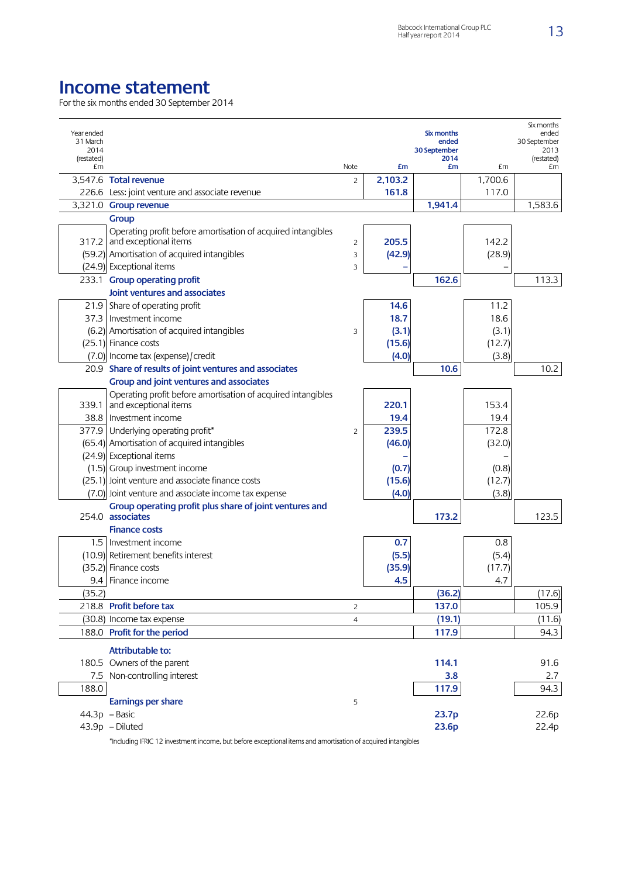## **Income statement**

For the six months ended 30 September 2014

| Year ended<br>31 March<br>2014<br>(restated)<br>£m |                                                                                       | Note           | £m      | Six months<br>ended<br>30 September<br>2014<br>£m | £m      | Six months<br>ended<br>30 September<br>2013<br>(restated)<br>£m |
|----------------------------------------------------|---------------------------------------------------------------------------------------|----------------|---------|---------------------------------------------------|---------|-----------------------------------------------------------------|
|                                                    | 3,547.6 Total revenue                                                                 | $\overline{c}$ | 2,103.2 |                                                   | 1,700.6 |                                                                 |
|                                                    | 226.6 Less: joint venture and associate revenue                                       |                | 161.8   |                                                   | 117.0   |                                                                 |
|                                                    | 3,321.0 Group revenue                                                                 |                |         | 1,941.4                                           |         | 1,583.6                                                         |
|                                                    | Group                                                                                 |                |         |                                                   |         |                                                                 |
| 317.2                                              | Operating profit before amortisation of acquired intangibles<br>and exceptional items | 2              | 205.5   |                                                   | 142.2   |                                                                 |
|                                                    | (59.2) Amortisation of acquired intangibles                                           | 3              | (42.9)  |                                                   | (28.9)  |                                                                 |
|                                                    | (24.9) Exceptional items                                                              | 3              |         |                                                   |         |                                                                 |
| 233.1                                              | <b>Group operating profit</b>                                                         |                |         | 162.6                                             |         | 113.3                                                           |
|                                                    | Joint ventures and associates                                                         |                |         |                                                   |         |                                                                 |
|                                                    | 21.9 Share of operating profit                                                        |                | 14.6    |                                                   | 11.2    |                                                                 |
| 37.3                                               | Investment income                                                                     |                | 18.7    |                                                   | 18.6    |                                                                 |
|                                                    | (6.2) Amortisation of acquired intangibles                                            | 3              | (3.1)   |                                                   | (3.1)   |                                                                 |
|                                                    | (25.1) Finance costs                                                                  |                | (15.6)  |                                                   | (12.7)  |                                                                 |
|                                                    | (7.0) Income tax (expense) / credit                                                   |                | (4.0)   |                                                   | (3.8)   |                                                                 |
|                                                    | 20.9 Share of results of joint ventures and associates                                |                |         | 10.6                                              |         | 10.2                                                            |
|                                                    | Group and joint ventures and associates                                               |                |         |                                                   |         |                                                                 |
|                                                    | Operating profit before amortisation of acquired intangibles                          |                |         |                                                   |         |                                                                 |
| 339.1                                              | and exceptional items                                                                 |                | 220.1   |                                                   | 153.4   |                                                                 |
| 38.8                                               | Investment income                                                                     |                | 19.4    |                                                   | 19.4    |                                                                 |
| 377.9                                              | Underlying operating profit*                                                          | 2              | 239.5   |                                                   | 172.8   |                                                                 |
|                                                    | (65.4) Amortisation of acquired intangibles                                           |                | (46.0)  |                                                   | (32.0)  |                                                                 |
|                                                    | (24.9) Exceptional items                                                              |                |         |                                                   |         |                                                                 |
|                                                    | (1.5) Group investment income                                                         |                | (0.7)   |                                                   | (0.8)   |                                                                 |
|                                                    | (25.1) Joint venture and associate finance costs                                      |                | (15.6)  |                                                   | (12.7)  |                                                                 |
|                                                    | (7.0) Joint venture and associate income tax expense                                  |                | (4.0)   |                                                   | (3.8)   |                                                                 |
|                                                    | Group operating profit plus share of joint ventures and<br>254.0 associates           |                |         | 173.2                                             |         | 123.5                                                           |
|                                                    | <b>Finance costs</b>                                                                  |                |         |                                                   |         |                                                                 |
|                                                    | 1.5   Investment income                                                               |                | 0.7     |                                                   | 0.8     |                                                                 |
| (10.9)                                             | Retirement benefits interest                                                          |                | (5.5)   |                                                   | (5.4)   |                                                                 |
| (35.2)                                             | Finance costs                                                                         |                | (35.9)  |                                                   | (17.7)  |                                                                 |
|                                                    | 9.4 Finance income                                                                    |                | 4.5     |                                                   | 4.7     |                                                                 |
| (35.2)                                             |                                                                                       |                |         | (36.2)                                            |         | (17.6)                                                          |
|                                                    | 218.8 Profit before tax                                                               | $\overline{c}$ |         | 137.0                                             |         | 105.9                                                           |
|                                                    | (30.8) Income tax expense                                                             | $\overline{4}$ |         | (19.1)                                            |         | (11.6)                                                          |
|                                                    | 188.0 Profit for the period                                                           |                |         | 117.9                                             |         | 94.3                                                            |
|                                                    |                                                                                       |                |         |                                                   |         |                                                                 |
|                                                    | Attributable to:                                                                      |                |         |                                                   |         |                                                                 |
|                                                    | 180.5 Owners of the parent                                                            |                |         | 114.1                                             |         | 91.6                                                            |
| 7.5                                                | Non-controlling interest                                                              |                |         | 3.8                                               |         | 2.7                                                             |
| 188.0                                              |                                                                                       |                |         | 117.9                                             |         | 94.3                                                            |
|                                                    | <b>Earnings per share</b>                                                             | 5              |         |                                                   |         |                                                                 |
|                                                    | 44.3p - Basic                                                                         |                |         | 23.7p                                             |         | 22.6p                                                           |
|                                                    | 43.9p - Diluted                                                                       |                |         | 23.6p                                             |         | 22.4p                                                           |

\*Including IFRIC 12 investment income, but before exceptional items and amortisation of acquired intangibles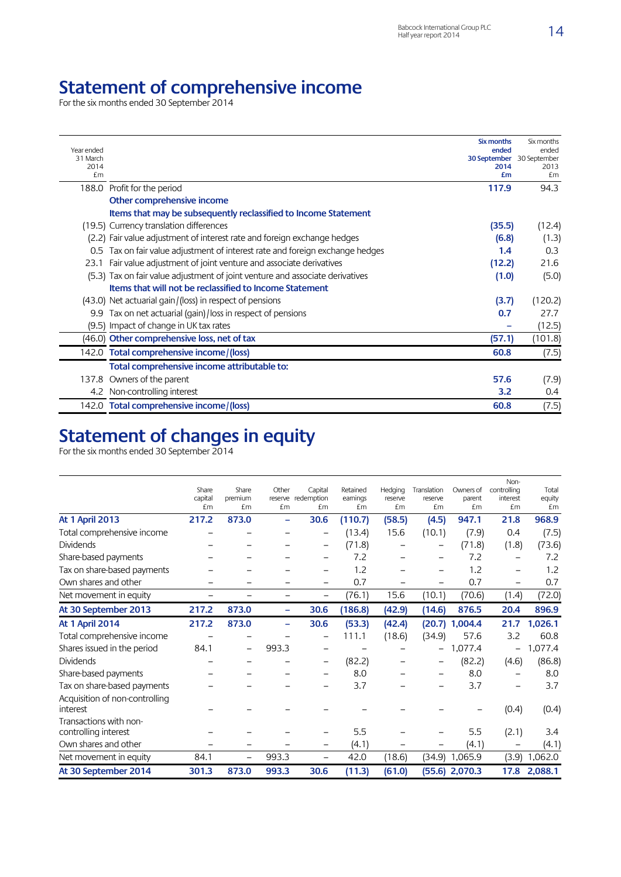## **Statement of comprehensive income**

For the six months ended 30 September 2014

| Year ended<br>31 March<br>2014<br>£m |                                                                               | Six months<br>ended<br>30 September 30 September<br>2014<br>£m | Six months<br>ended<br>2013<br>£m |
|--------------------------------------|-------------------------------------------------------------------------------|----------------------------------------------------------------|-----------------------------------|
|                                      | 188.0 Profit for the period                                                   | 117.9                                                          | 94.3                              |
|                                      | Other comprehensive income                                                    |                                                                |                                   |
|                                      | Items that may be subsequently reclassified to Income Statement               |                                                                |                                   |
|                                      | (19.5) Currency translation differences                                       | (35.5)                                                         | (12.4)                            |
|                                      | (2.2) Fair value adjustment of interest rate and foreign exchange hedges      | (6.8)                                                          | (1.3)                             |
| 0.5                                  | Tax on fair value adjustment of interest rate and foreign exchange hedges     | 1.4                                                            | 0.3                               |
| 23.1                                 | Fair value adjustment of joint venture and associate derivatives              | (12.2)                                                         | 21.6                              |
|                                      | (5.3) Tax on fair value adjustment of joint venture and associate derivatives | (1.0)                                                          | (5.0)                             |
|                                      | Items that will not be reclassified to Income Statement                       |                                                                |                                   |
|                                      | (43.0) Net actuarial gain/(loss) in respect of pensions                       | (3.7)                                                          | (120.2)                           |
|                                      | 9.9 Tax on net actuarial (gain)/loss in respect of pensions                   | 0.7                                                            | 27.7                              |
|                                      | (9.5) Impact of change in UK tax rates                                        |                                                                | (12.5)                            |
|                                      | (46.0) Other comprehensive loss, net of tax                                   | (57.1)                                                         | (101.8)                           |
|                                      | 142.0 Total comprehensive income/(loss)                                       | 60.8                                                           | (7.5)                             |
|                                      | Total comprehensive income attributable to:                                   |                                                                |                                   |
| 137.8                                | Owners of the parent                                                          | 57.6                                                           | (7.9)                             |
|                                      | 4.2 Non-controlling interest                                                  | 3.2                                                            | 0.4                               |
|                                      | 142.0 Total comprehensive income/(loss)                                       | 60.8                                                           | (7.5)                             |

## **Statement of changes in equity**

For the six months ended 30 September 2014

|                                                | Share<br>capital<br>£m | Share<br>premium<br>£m | Other<br>£m | Capital<br>reserve redemption<br>£m | Retained<br>earnings<br>£m | Hedging<br>reserve<br>£m | Translation<br>reserve<br>£m | Owners of<br>parent<br>£m | Non-<br>controlling<br>interest<br>£m | Total<br>equity<br>£m |
|------------------------------------------------|------------------------|------------------------|-------------|-------------------------------------|----------------------------|--------------------------|------------------------------|---------------------------|---------------------------------------|-----------------------|
| <b>At 1 April 2013</b>                         | 217.2                  | 873.0                  |             | 30.6                                | (110.7)                    | (58.5)                   | (4.5)                        | 947.1                     | 21.8                                  | 968.9                 |
| Total comprehensive income                     |                        |                        |             |                                     | (13.4)                     | 15.6                     | (10.1)                       | (7.9)                     | 0.4                                   | (7.5)                 |
| <b>Dividends</b>                               |                        |                        |             |                                     | (71.8)                     |                          |                              | (71.8)                    | (1.8)                                 | (73.6)                |
| Share-based payments                           |                        |                        |             |                                     | 7.2                        |                          |                              | 7.2                       |                                       | 7.2                   |
| Tax on share-based payments                    |                        |                        |             |                                     | 1.2                        |                          |                              | 1.2                       |                                       | 1.2                   |
| Own shares and other                           |                        |                        |             |                                     | 0.7                        | -                        |                              | 0.7                       | -                                     | 0.7                   |
| Net movement in equity                         |                        |                        |             | $\overline{\phantom{0}}$            | (76.1)                     | 15.6                     | (10.1)                       | (70.6)                    | (1.4)                                 | (72.0)                |
| At 30 September 2013                           | 217.2                  | 873.0                  | -           | 30.6                                | (186.8)                    | (42.9)                   | (14.6)                       | 876.5                     | 20.4                                  | 896.9                 |
| <b>At 1 April 2014</b>                         | 217.2                  | 873.0                  | -           | 30.6                                | (53.3)                     | (42.4)                   | (20.7)                       | 1,004.4                   | 21.7                                  | 1,026.1               |
| Total comprehensive income                     |                        |                        |             |                                     | 111.1                      | (18.6)                   | (34.9)                       | 57.6                      | 3.2                                   | 60.8                  |
| Shares issued in the period                    | 84.1                   |                        | 993.3       |                                     |                            |                          |                              | 1,077.4                   |                                       | 1,077.4               |
| <b>Dividends</b>                               |                        |                        |             |                                     | (82.2)                     |                          |                              | (82.2)                    | (4.6)                                 | (86.8)                |
| Share-based payments                           |                        |                        |             |                                     | 8.0                        |                          |                              | 8.0                       |                                       | 8.0                   |
| Tax on share-based payments                    |                        |                        |             |                                     | 3.7                        |                          |                              | 3.7                       |                                       | 3.7                   |
| Acquisition of non-controlling<br>interest     |                        |                        |             |                                     |                            |                          |                              |                           | (0.4)                                 | (0.4)                 |
| Transactions with non-<br>controlling interest |                        |                        |             |                                     | 5.5                        |                          |                              | 5.5                       | (2.1)                                 | 3.4                   |
| Own shares and other                           |                        |                        |             | $\overline{\phantom{0}}$            | (4.1)                      |                          |                              | (4.1)                     |                                       | (4.1)                 |
| Net movement in equity                         | 84.1                   |                        | 993.3       |                                     | 42.0                       | (18.6)                   |                              | $(34.9)$ 1,065.9          | (3.9)                                 | 1,062.0               |
| At 30 September 2014                           | 301.3                  | 873.0                  | 993.3       | 30.6                                | (11.3)                     | (61.0)                   |                              | $(55.6)$ 2,070.3          |                                       | 17.8 2,088.1          |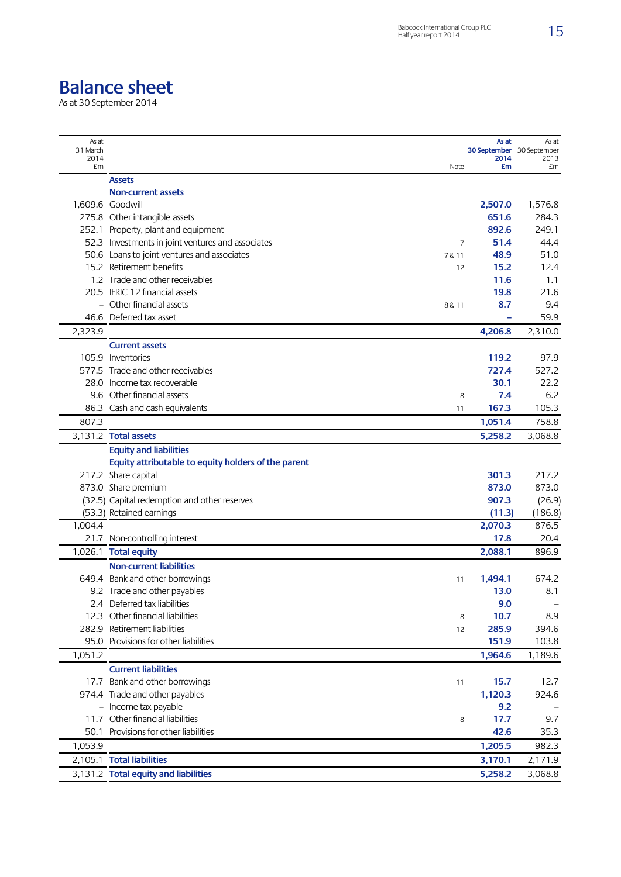## **Balance sheet**

As at 30 September 2014

| As at<br>31 March<br>2014 |                                                     |        | As at<br>30 September 30 September<br>2014 | As at<br>2013 |
|---------------------------|-----------------------------------------------------|--------|--------------------------------------------|---------------|
| £m                        |                                                     | Note   | £m                                         | £m            |
|                           | <b>Assets</b>                                       |        |                                            |               |
|                           | <b>Non-current assets</b>                           |        |                                            |               |
|                           | 1,609.6 Goodwill                                    |        | 2,507.0                                    | 1,576.8       |
|                           | 275.8 Other intangible assets                       |        | 651.6                                      | 284.3         |
|                           | 252.1 Property, plant and equipment                 |        | 892.6                                      | 249.1         |
|                           | 52.3 Investments in joint ventures and associates   | 7      | 51.4                                       | 44.4          |
|                           | 50.6 Loans to joint ventures and associates         | 7 & 11 | 48.9                                       | 51.0          |
|                           | 15.2 Retirement benefits                            | 12     | 15.2                                       | 12.4          |
|                           | 1.2 Trade and other receivables                     |        | 11.6                                       | 1.1           |
|                           | 20.5 IFRIC 12 financial assets                      |        | 19.8                                       | 21.6          |
|                           | - Other financial assets                            | 8 & 11 | 8.7                                        | 9.4           |
|                           | 46.6 Deferred tax asset                             |        |                                            | 59.9          |
| 2,323.9                   |                                                     |        | 4,206.8                                    | 2,310.0       |
|                           | <b>Current assets</b>                               |        |                                            |               |
|                           | 105.9 Inventories                                   |        | 119.2                                      | 97.9          |
|                           | 577.5 Trade and other receivables                   |        | 727.4                                      | 527.2         |
|                           | 28.0 Income tax recoverable                         |        | 30.1                                       | 22.2          |
|                           | 9.6 Other financial assets                          | 8      | 7.4                                        | 6.2           |
| 86.3                      | Cash and cash equivalents                           | 11     | 167.3                                      | 105.3         |
| 807.3                     |                                                     |        | 1,051.4                                    | 758.8         |
|                           |                                                     |        |                                            |               |
|                           | 3,131.2 Total assets                                |        | 5,258.2                                    | 3,068.8       |
|                           | <b>Equity and liabilities</b>                       |        |                                            |               |
|                           | Equity attributable to equity holders of the parent |        |                                            |               |
|                           | 217.2 Share capital                                 |        | 301.3                                      | 217.2         |
|                           | 873.0 Share premium                                 |        | 873.0                                      | 873.0         |
|                           | (32.5) Capital redemption and other reserves        |        | 907.3                                      | (26.9)        |
|                           | (53.3) Retained earnings                            |        | (11.3)                                     | (186.8)       |
| 1,004.4                   |                                                     |        | 2,070.3                                    | 876.5         |
|                           | 21.7 Non-controlling interest                       |        | 17.8                                       | 20.4          |
|                           | 1,026.1 Total equity                                |        | 2,088.1                                    | 896.9         |
|                           | <b>Non-current liabilities</b>                      |        |                                            |               |
|                           | 649.4 Bank and other borrowings                     | 11     | 1,494.1                                    | 674.2         |
|                           | 9.2 Trade and other payables                        |        | 13.0                                       | 8.1           |
|                           | 2.4 Deferred tax liabilities                        |        | 9.0                                        |               |
|                           | 12.3 Other financial liabilities                    | 8      | 10.7                                       | 8.9           |
|                           | 282.9 Retirement liabilities                        | 12     | 285.9                                      | 394.6         |
| 95.0                      | Provisions for other liabilities                    |        | 151.9                                      | 103.8         |
| 1,051.2                   |                                                     |        | 1,964.6                                    | 1,189.6       |
|                           | <b>Current liabilities</b>                          |        |                                            |               |
|                           | 17.7 Bank and other borrowings                      | 11     | 15.7                                       | 12.7          |
|                           | 974.4 Trade and other payables                      |        | 1,120.3                                    | 924.6         |
|                           | - Income tax payable                                |        | 9.2                                        |               |
|                           | 11.7 Other financial liabilities                    | 8      | 17.7                                       | 9.7           |
| 50.1                      | Provisions for other liabilities                    |        | 42.6                                       | 35.3          |
| 1,053.9                   |                                                     |        | 1,205.5                                    | 982.3         |
|                           | 2,105.1 Total liabilities                           |        | 3,170.1                                    | 2,171.9       |
|                           | 3,131.2 Total equity and liabilities                |        | 5,258.2                                    | 3,068.8       |
|                           |                                                     |        |                                            |               |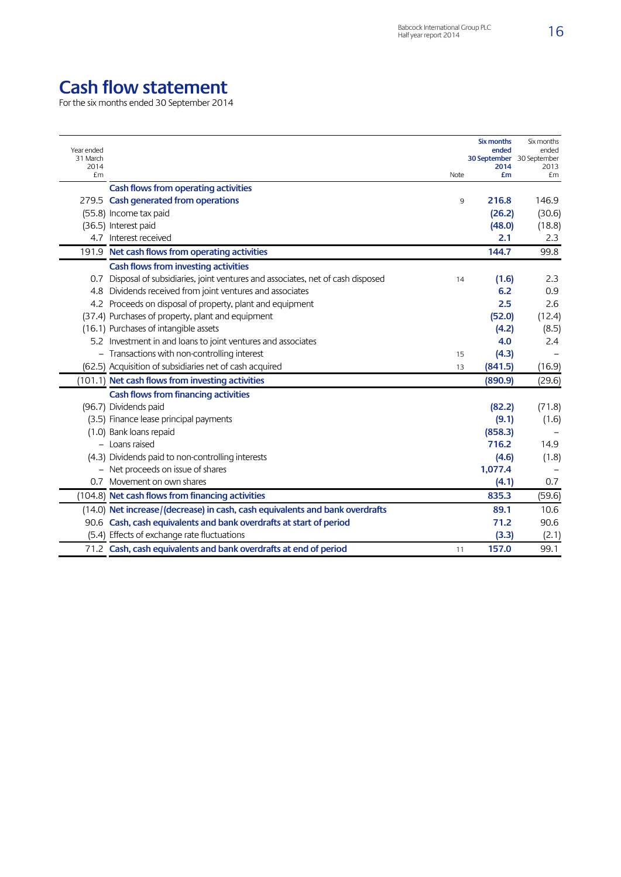# **Cash flow statement**

For the six months ended 30 September 2014

| Year ended<br>31 March |                                                                                   |      | Six months<br>ended<br><b>30 September</b> 30 September | Six months<br>ended |
|------------------------|-----------------------------------------------------------------------------------|------|---------------------------------------------------------|---------------------|
| 2014<br>£m             |                                                                                   | Note | 2014<br>£m                                              | 2013<br>£m          |
|                        | Cash flows from operating activities                                              |      |                                                         |                     |
|                        | 279.5 Cash generated from operations                                              | 9    | 216.8                                                   | 146.9               |
|                        | (55.8) Income tax paid                                                            |      | (26.2)                                                  | (30.6)              |
|                        | (36.5) Interest paid                                                              |      | (48.0)                                                  | (18.8)              |
|                        | 4.7 Interest received                                                             |      | 2.1                                                     | 2.3                 |
|                        | 191.9 Net cash flows from operating activities                                    |      | 144.7                                                   | 99.8                |
|                        | Cash flows from investing activities                                              |      |                                                         |                     |
|                        | 0.7 Disposal of subsidiaries, joint ventures and associates, net of cash disposed | 14   | (1.6)                                                   | 2.3                 |
|                        | 4.8 Dividends received from joint ventures and associates                         |      | 6.2                                                     | 0.9                 |
|                        | 4.2 Proceeds on disposal of property, plant and equipment                         |      | 2.5                                                     | 2.6                 |
|                        | (37.4) Purchases of property, plant and equipment                                 |      | (52.0)                                                  | (12.4)              |
|                        | (16.1) Purchases of intangible assets                                             |      | (4.2)                                                   | (8.5)               |
|                        | 5.2 Investment in and loans to joint ventures and associates                      |      | 4.0                                                     | 2.4                 |
|                        | - Transactions with non-controlling interest                                      | 15   | (4.3)                                                   |                     |
|                        | (62.5) Acquisition of subsidiaries net of cash acquired                           | 13   | (841.5)                                                 | (16.9)              |
|                        | (101.1) Net cash flows from investing activities                                  |      | (890.9)                                                 | (29.6)              |
|                        | Cash flows from financing activities                                              |      |                                                         |                     |
|                        | (96.7) Dividends paid                                                             |      | (82.2)                                                  | (71.8)              |
|                        | (3.5) Finance lease principal payments                                            |      | (9.1)                                                   | (1.6)               |
|                        | (1.0) Bank loans repaid                                                           |      | (858.3)                                                 |                     |
|                        | - Loans raised                                                                    |      | 716.2                                                   | 14.9                |
|                        | (4.3) Dividends paid to non-controlling interests                                 |      | (4.6)                                                   | (1.8)               |
|                        | - Net proceeds on issue of shares                                                 |      | 1,077.4                                                 |                     |
|                        | 0.7 Movement on own shares                                                        |      | (4.1)                                                   | 0.7                 |
|                        | (104.8) Net cash flows from financing activities                                  |      | 835.3                                                   | (59.6)              |
|                        | (14.0) Net increase/(decrease) in cash, cash equivalents and bank overdrafts      |      | 89.1                                                    | 10.6                |
|                        | 90.6 Cash, cash equivalents and bank overdrafts at start of period                |      | 71.2                                                    | 90.6                |
|                        | (5.4) Effects of exchange rate fluctuations                                       |      | (3.3)                                                   | (2.1)               |
|                        | 71.2 Cash, cash equivalents and bank overdrafts at end of period                  | 11   | 157.0                                                   | 99.1                |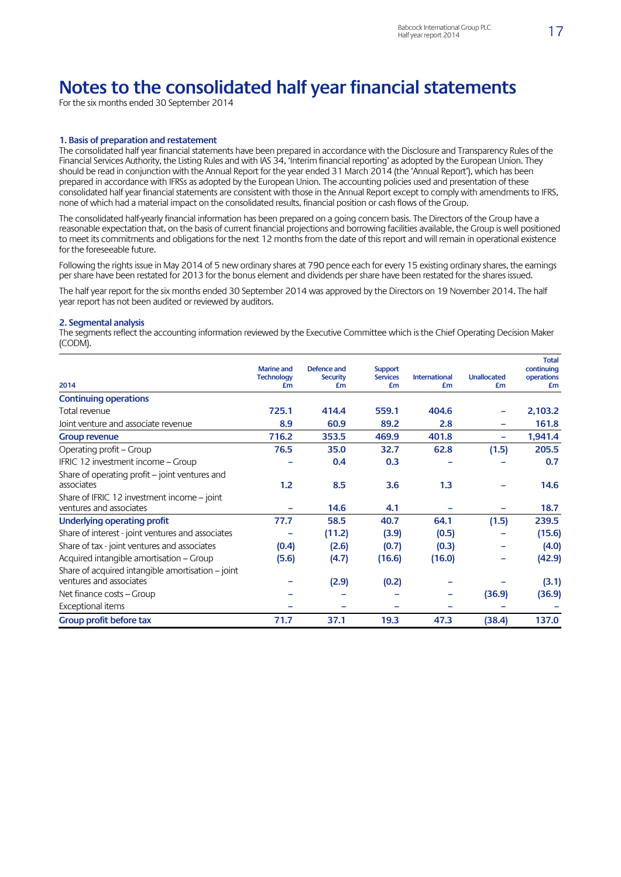## **Notes to the consolidated half year financial statements**

For the six months ended 30 September 2014

#### **1. Basis of preparation and restatement**

The consolidated half year financial statements have been prepared in accordance with the Disclosure and Transparency Rules of the Financial Services Authority, the Listing Rules and with IAS 34, 'Interim financial reporting' as adopted by the European Union. They should be read in conjunction with the Annual Report for the year ended 31 March 2014 (the 'Annual Report'), which has been prepared in accordance with IFRSs as adopted by the European Union. The accounting policies used and presentation of these consolidated half year financial statements are consistent with those in the Annual Report except to comply with amendments to IFRS, none of which had a material impact on the consolidated results, financial position or cash flows of the Group.

The consolidated half-yearly financial information has been prepared on a going concern basis. The Directors of the Group have a reasonable expectation that, on the basis of current financial projections and borrowing facilities available, the Group is well positioned to meet its commitments and obligations for the next 12 months from the date of this report and will remain in operational existence for the foreseeable future.

Following the rights issue in May 2014 of 5 new ordinary shares at 790 pence each for every 15 existing ordinary shares, the earnings per share have been restated for 2013 for the bonus element and dividends per share have been restated for the shares issued.

The half year report for the six months ended 30 September 2014 was approved by the Directors on 19 November 2014. The half year report has not been audited or reviewed by auditors.

#### **2. Segmental analysis**

The segments reflect the accounting information reviewed by the Executive Committee which is the Chief Operating Decision Maker (CODM).

|                                                   | <b>Marine and</b><br><b>Technology</b> | Defence and<br><b>Security</b> | <b>Support</b><br><b>Services</b> | <b>International</b> | <b>Unallocated</b> | <b>Total</b><br>continuing<br>operations |
|---------------------------------------------------|----------------------------------------|--------------------------------|-----------------------------------|----------------------|--------------------|------------------------------------------|
| 2014                                              | £m                                     | £m                             | £m                                | £m                   | £m                 | £m                                       |
| <b>Continuing operations</b>                      |                                        |                                |                                   |                      |                    |                                          |
| Total revenue                                     | 725.1                                  | 414.4                          | 559.1                             | 404.6                |                    | 2,103.2                                  |
| Joint venture and associate revenue               | 8.9                                    | 60.9                           | 89.2                              | 2.8                  |                    | 161.8                                    |
| <b>Group revenue</b>                              | 716.2                                  | 353.5                          | 469.9                             | 401.8                |                    | 1,941.4                                  |
| Operating profit - Group                          | 76.5                                   | 35.0                           | 32.7                              | 62.8                 | (1.5)              | 205.5                                    |
| IFRIC 12 investment income – Group                |                                        | 0.4                            | 0.3                               |                      |                    | 0.7                                      |
| Share of operating profit – joint ventures and    |                                        |                                |                                   |                      |                    |                                          |
| associates                                        | 1.2                                    | 8.5                            | 3.6                               | 1.3                  |                    | 14.6                                     |
| Share of IFRIC 12 investment income – joint       |                                        |                                |                                   |                      |                    |                                          |
| ventures and associates                           | ۰                                      | 14.6                           | 4.1                               |                      |                    | 18.7                                     |
| Underlying operating profit                       | 77.7                                   | 58.5                           | 40.7                              | 64.1                 | (1.5)              | 239.5                                    |
| Share of interest - joint ventures and associates |                                        | (11.2)                         | (3.9)                             | (0.5)                |                    | (15.6)                                   |
| Share of tax - joint ventures and associates      | (0.4)                                  | (2.6)                          | (0.7)                             | (0.3)                |                    | (4.0)                                    |
| Acquired intangible amortisation - Group          | (5.6)                                  | (4.7)                          | (16.6)                            | (16.0)               |                    | (42.9)                                   |
| Share of acquired intangible amortisation - joint |                                        |                                |                                   |                      |                    |                                          |
| ventures and associates                           |                                        | (2.9)                          | (0.2)                             |                      |                    | (3.1)                                    |
| Net finance costs – Group                         |                                        |                                |                                   |                      | (36.9)             | (36.9)                                   |
| Exceptional items                                 |                                        |                                |                                   |                      |                    |                                          |
| Group profit before tax                           | 71.7                                   | 37.1                           | 19.3                              | 47.3                 | (38.4)             | 137.0                                    |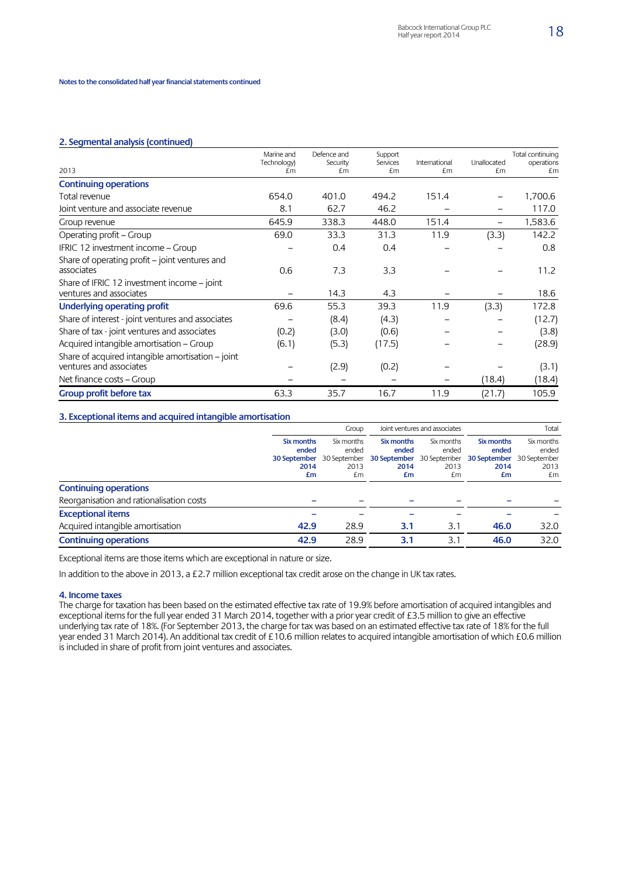#### **2. Segmental analysis (continued)**

|                                                                              | Marine and        | Defence and<br>Security | Support<br>Services | International | Unallocated | Total continuing<br>operations |
|------------------------------------------------------------------------------|-------------------|-------------------------|---------------------|---------------|-------------|--------------------------------|
| 2013                                                                         | Technology)<br>£m | £m                      | £m                  | £m            | £m          | £m                             |
| <b>Continuing operations</b>                                                 |                   |                         |                     |               |             |                                |
| Total revenue                                                                | 654.0             | 401.0                   | 494.2               | 151.4         |             | 1,700.6                        |
| Joint venture and associate revenue                                          | 8.1               | 62.7                    | 46.2                |               |             | 117.0                          |
| Group revenue                                                                | 645.9             | 338.3                   | 448.0               | 151.4         |             | 1,583.6                        |
| Operating profit – Group                                                     | 69.0              | 33.3                    | 31.3                | 11.9          | (3.3)       | 142.2                          |
| IFRIC 12 investment income - Group                                           |                   | 0.4                     | 0.4                 |               |             | 0.8                            |
| Share of operating profit – joint ventures and<br>associates                 | 0.6               | 7.3                     | 3.3                 |               |             | 11.2                           |
| Share of IFRIC 12 investment income – joint<br>ventures and associates       |                   | 14.3                    | 4.3                 |               |             | 18.6                           |
| Underlying operating profit                                                  | 69.6              | 55.3                    | 39.3                | 11.9          | (3.3)       | 172.8                          |
| Share of interest - joint ventures and associates                            |                   | (8.4)                   | (4.3)               |               |             | (12.7)                         |
| Share of tax - joint ventures and associates                                 | (0.2)             | (3.0)                   | (0.6)               |               |             | (3.8)                          |
| Acquired intangible amortisation - Group                                     | (6.1)             | (5.3)                   | (17.5)              |               |             | (28.9)                         |
| Share of acquired intangible amortisation – joint<br>ventures and associates |                   | (2.9)                   | (0.2)               |               |             | (3.1)                          |
| Net finance costs – Group                                                    |                   |                         |                     |               | (18.4)      | (18.4)                         |
| Group profit before tax                                                      | 63.3              | 35.7                    | 16.7                | 11.9          | (21.7)      | 105.9                          |

### **3. Exceptional items and acquired intangible amortisation**

|                                          | Group                                                    |                                                   | Joint ventures and associates                                  |                                   | Total                                                          |                                   |
|------------------------------------------|----------------------------------------------------------|---------------------------------------------------|----------------------------------------------------------------|-----------------------------------|----------------------------------------------------------------|-----------------------------------|
|                                          | Six months<br>ended<br><b>30 September</b><br>2014<br>£m | Six months<br>ended<br>30 September<br>2013<br>£m | Six months<br>ended<br>30 September 30 September<br>2014<br>£m | Six months<br>ended<br>2013<br>£m | Six months<br>ended<br>30 September 30 September<br>2014<br>£m | Six months<br>ended<br>2013<br>£m |
| <b>Continuing operations</b>             |                                                          |                                                   |                                                                |                                   |                                                                |                                   |
| Reorganisation and rationalisation costs |                                                          |                                                   |                                                                |                                   |                                                                |                                   |
| <b>Exceptional items</b>                 |                                                          |                                                   |                                                                |                                   |                                                                |                                   |
| Acquired intangible amortisation         | 42.9                                                     | 28.9                                              | 3.1                                                            | 3.1                               | 46.0                                                           | 32.0                              |
| <b>Continuing operations</b>             | 42.9                                                     | 28.9                                              | 3.1                                                            | 3.1                               | 46.0                                                           | 32.0                              |

Exceptional items are those items which are exceptional in nature or size.

In addition to the above in 2013, a £2.7 million exceptional tax credit arose on the change in UK tax rates.

#### **4. Income taxes**

The charge for taxation has been based on the estimated effective tax rate of 19.9% before amortisation of acquired intangibles and exceptional items for the full year ended 31 March 2014, together with a prior year credit of £3.5 million to give an effective underlying tax rate of 18%. (For September 2013, the charge for tax was based on an estimated effective tax rate of 18% for the full year ended 31 March 2014). An additional tax credit of £10.6 million relates to acquired intangible amortisation of which £0.6 million is included in share of profit from joint ventures and associates.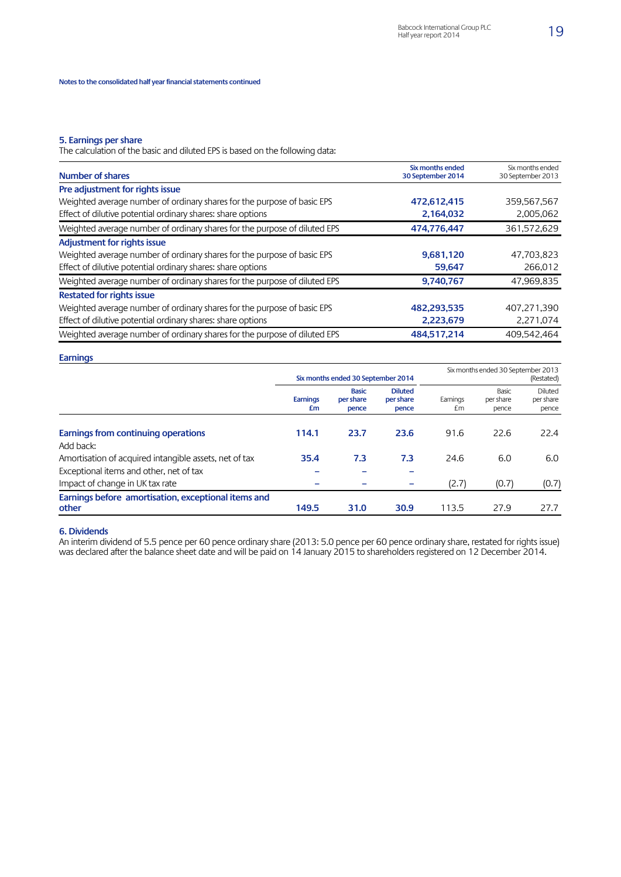#### **5. Earnings per share**

The calculation of the basic and diluted EPS is based on the following data:

| <b>Number of shares</b>                                                   | Six months ended<br>30 September 2014 | Six months ended<br>30 September 2013 |
|---------------------------------------------------------------------------|---------------------------------------|---------------------------------------|
| Pre adjustment for rights issue                                           |                                       |                                       |
| Weighted average number of ordinary shares for the purpose of basic EPS   | 472,612,415                           | 359,567,567                           |
| Effect of dilutive potential ordinary shares: share options               | 2,164,032                             | 2,005,062                             |
| Weighted average number of ordinary shares for the purpose of diluted EPS | 474,776,447                           | 361,572,629                           |
| <b>Adjustment for rights issue</b>                                        |                                       |                                       |
| Weighted average number of ordinary shares for the purpose of basic EPS   | 9,681,120                             | 47,703,823                            |
| Effect of dilutive potential ordinary shares: share options               | 59,647                                | 266,012                               |
| Weighted average number of ordinary shares for the purpose of diluted EPS | 9,740,767                             | 47,969,835                            |
| <b>Restated for rights issue</b>                                          |                                       |                                       |
| Weighted average number of ordinary shares for the purpose of basic EPS   | 482,293,535                           | 407.271.390                           |
| Effect of dilutive potential ordinary shares: share options               | 2,223,679                             | 2,271,074                             |
| Weighted average number of ordinary shares for the purpose of diluted EPS | 484,517,214                           | 409,542,464                           |

#### **Earnings**

|                                                                            | Six months ended 30 September 2014 |                                    |                                      |                 | Six months ended 30 September 2013 | (Restated)                    |
|----------------------------------------------------------------------------|------------------------------------|------------------------------------|--------------------------------------|-----------------|------------------------------------|-------------------------------|
|                                                                            | <b>Earnings</b><br>£m              | <b>Basic</b><br>per share<br>pence | <b>Diluted</b><br>per share<br>pence | Earnings<br>£m. | Basic<br>per share<br>pence        | Diluted<br>per share<br>pence |
| Earnings from continuing operations                                        | 114.1                              | 23.7                               | 23.6                                 | 91.6            | 22.6                               | 22.4                          |
| Add back:<br>Amortisation of acquired intangible assets, net of tax        | 35.4                               | 7.3                                | 7.3                                  | 24.6            | 6.0                                | 6.0                           |
| Exceptional items and other, net of tax<br>Impact of change in UK tax rate | -<br>-                             |                                    | $\overline{\phantom{0}}$             | (2.7)           | (0.7)                              | (0.7)                         |
| Earnings before amortisation, exceptional items and<br>other               | 149.5                              | 31.0                               | 30.9                                 | 113.5           | 27.9                               | 27.7                          |

### **6. Dividends**

An interim dividend of 5.5 pence per 60 pence ordinary share (2013: 5.0 pence per 60 pence ordinary share, restated for rights issue) was declared after the balance sheet date and will be paid on 14 January 2015 to shareholders registered on 12 December 2014.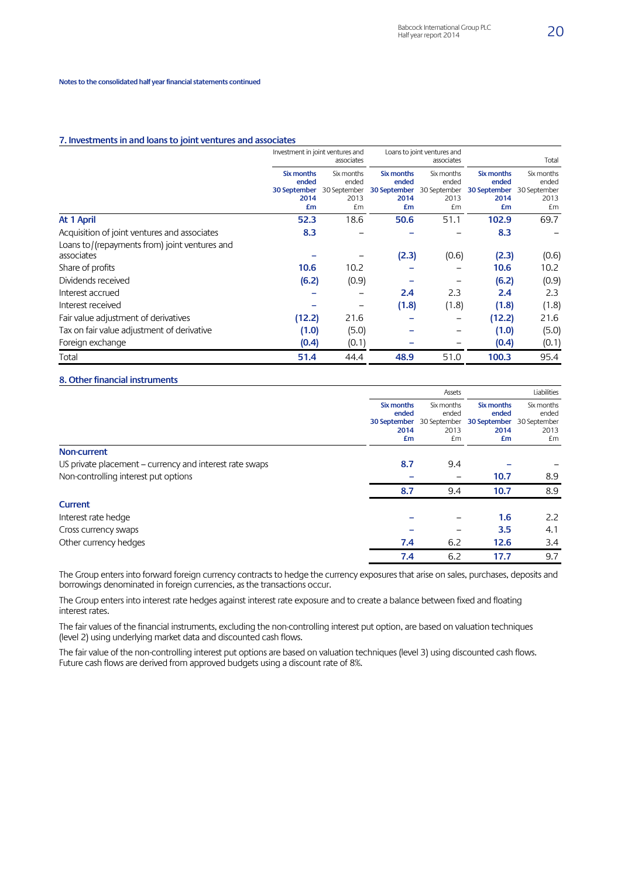#### **7. Investments in and loans to joint ventures and associates**

|                                               | Investment in joint ventures and<br>associates    |                                                   | Loans to joint ventures and<br>associates         |                                                   |                                                   | Total                                             |
|-----------------------------------------------|---------------------------------------------------|---------------------------------------------------|---------------------------------------------------|---------------------------------------------------|---------------------------------------------------|---------------------------------------------------|
|                                               | Six months<br>ended<br>30 September<br>2014<br>£m | Six months<br>ended<br>30 September<br>2013<br>£m | Six months<br>ended<br>30 September<br>2014<br>£m | Six months<br>ended<br>30 September<br>2013<br>£m | Six months<br>ended<br>30 September<br>2014<br>£m | Six months<br>ended<br>30 September<br>2013<br>£m |
| At 1 April                                    | 52.3                                              | 18.6                                              | 50.6                                              | 51.1                                              | 102.9                                             | 69.7                                              |
| Acquisition of joint ventures and associates  | 8.3                                               |                                                   |                                                   |                                                   | 8.3                                               |                                                   |
| Loans to/(repayments from) joint ventures and |                                                   |                                                   |                                                   |                                                   |                                                   |                                                   |
| associates                                    |                                                   |                                                   | (2.3)                                             | (0.6)                                             | (2.3)                                             | (0.6)                                             |
| Share of profits                              | 10.6                                              | 10.2                                              |                                                   |                                                   | 10.6                                              | 10.2                                              |
| Dividends received                            | (6.2)                                             | (0.9)                                             |                                                   |                                                   | (6.2)                                             | (0.9)                                             |
| Interest accrued                              |                                                   |                                                   | 2.4                                               | 2.3                                               | 2.4                                               | 2.3                                               |
| Interest received                             |                                                   |                                                   | (1.8)                                             | (1.8)                                             | (1.8)                                             | (1.8)                                             |
| Fair value adjustment of derivatives          | (12.2)                                            | 21.6                                              |                                                   |                                                   | (12.2)                                            | 21.6                                              |
| Tax on fair value adjustment of derivative    | (1.0)                                             | (5.0)                                             |                                                   |                                                   | (1.0)                                             | (5.0)                                             |
| Foreign exchange                              | (0.4)                                             | (0.1)                                             |                                                   |                                                   | (0.4)                                             | (0.1)                                             |
| Total                                         | 51.4                                              | 44.4                                              | 48.9                                              | 51.0                                              | 100.3                                             | 95.4                                              |

### **8. Other financial instruments**

|                                                         |                     | Assets              | Liabilities         |                     |
|---------------------------------------------------------|---------------------|---------------------|---------------------|---------------------|
|                                                         | Six months<br>ended | Six months<br>ended | Six months<br>ended | Six months<br>ended |
|                                                         | 30 September        | 30 September        | 30 September        | 30 September        |
|                                                         | 2014                | 2013                | 2014                | 2013                |
|                                                         | £m                  | £m                  | £m                  | £m                  |
| <b>Non-current</b>                                      |                     |                     |                     |                     |
| US private placement – currency and interest rate swaps | 8.7                 | 9.4                 |                     |                     |
| Non-controlling interest put options                    |                     |                     | 10.7                | 8.9                 |
|                                                         | 8.7                 | 9.4                 | 10.7                | 8.9                 |
| <b>Current</b>                                          |                     |                     |                     |                     |
| Interest rate hedge                                     |                     |                     | 1.6                 | 2.2                 |
| Cross currency swaps                                    |                     |                     | 3.5                 | 4.1                 |
| Other currency hedges                                   | 7.4                 | 6.2                 | 12.6                | 3.4                 |
|                                                         | 7.4                 | 6.2                 | 17.7                | 9.7                 |

The Group enters into forward foreign currency contracts to hedge the currency exposures that arise on sales, purchases, deposits and borrowings denominated in foreign currencies, as the transactions occur.

The Group enters into interest rate hedges against interest rate exposure and to create a balance between fixed and floating interest rates.

The fair values of the financial instruments, excluding the non-controlling interest put option, are based on valuation techniques (level 2) using underlying market data and discounted cash flows.

The fair value of the non-controlling interest put options are based on valuation techniques (level 3) using discounted cash flows. Future cash flows are derived from approved budgets using a discount rate of 8%.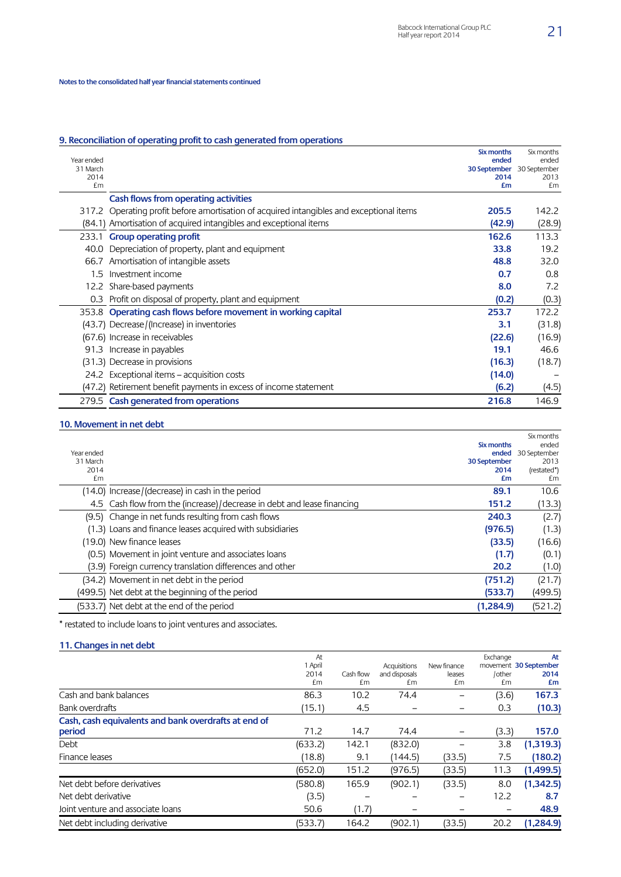### **9. Reconciliation of operating profit to cash generated from operations**

| Year ended<br>31 March<br>2014<br>£m |                                                                                          | Six months<br>ended<br>30 September 30 September<br>2014<br>£m | Six months<br>ended<br>2013<br>£m |
|--------------------------------------|------------------------------------------------------------------------------------------|----------------------------------------------------------------|-----------------------------------|
|                                      | Cash flows from operating activities                                                     |                                                                |                                   |
|                                      | 317.2 Operating profit before amortisation of acquired intangibles and exceptional items | 205.5                                                          | 142.2                             |
|                                      | (84.1) Amortisation of acquired intangibles and exceptional items                        | (42.9)                                                         | (28.9)                            |
|                                      | 233.1 Group operating profit                                                             | 162.6                                                          | 113.3                             |
|                                      | 40.0 Depreciation of property, plant and equipment                                       | 33.8                                                           | 19.2                              |
| 66.7                                 | Amortisation of intangible assets                                                        | 48.8                                                           | 32.0                              |
| $1.5\,$                              | Investment income                                                                        | 0.7                                                            | 0.8                               |
|                                      | 12.2 Share-based payments                                                                | 8.0                                                            | 7.2                               |
|                                      | 0.3 Profit on disposal of property, plant and equipment                                  | (0.2)                                                          | (0.3)                             |
|                                      | 353.8 Operating cash flows before movement in working capital                            | 253.7                                                          | 172.2                             |
|                                      | (43.7) Decrease/(Increase) in inventories                                                | 3.1                                                            | (31.8)                            |
|                                      | (67.6) Increase in receivables                                                           | (22.6)                                                         | (16.9)                            |
|                                      | 91.3 Increase in payables                                                                | 19.1                                                           | 46.6                              |
|                                      | (31.3) Decrease in provisions                                                            | (16.3)                                                         | (18.7)                            |
|                                      | 24.2 Exceptional items – acquisition costs                                               | (14.0)                                                         |                                   |
|                                      | (47.2) Retirement benefit payments in excess of income statement                         | (6.2)                                                          | (4.5)                             |
|                                      | 279.5 Cash generated from operations                                                     | 216.8                                                          | 146.9                             |

### **10. Movement in net debt**

| Year ended<br>31 March<br>2014<br>£m |                                                                          | Six months<br>ended<br>30 September<br>2014<br>£m | Six months<br>ended<br>30 September<br>2013<br>(restated*)<br>£m |
|--------------------------------------|--------------------------------------------------------------------------|---------------------------------------------------|------------------------------------------------------------------|
|                                      | (14.0) Increase/(decrease) in cash in the period                         | 89.1                                              | 10.6                                                             |
|                                      | 4.5 Cash flow from the (increase) / decrease in debt and lease financing | 151.2                                             | (13.3)                                                           |
|                                      | (9.5) Change in net funds resulting from cash flows                      | 240.3                                             | (2.7)                                                            |
|                                      | (1.3) Loans and finance leases acquired with subsidiaries                | (976.5)                                           | (1.3)                                                            |
|                                      | (19.0) New finance leases                                                | (33.5)                                            | (16.6)                                                           |
|                                      | (0.5) Movement in joint venture and associates loans                     | (1.7)                                             | (0.1)                                                            |
|                                      | (3.9) Foreign currency translation differences and other                 | 20.2                                              | (1.0)                                                            |
|                                      | (34.2) Movement in net debt in the period                                | (751.2)                                           | (21.7)                                                           |
|                                      | (499.5) Net debt at the beginning of the period                          | (533.7)                                           | (499.5)                                                          |
|                                      | (533.7) Net debt at the end of the period                                | (1,284.9)                                         | (521.2)                                                          |

\* restated to include loans to joint ventures and associates.

### **11. Changes in net debt**

|                                                      | At      |           |               |             | Exchange | At                    |
|------------------------------------------------------|---------|-----------|---------------|-------------|----------|-----------------------|
|                                                      | 1 April |           | Acquisitions  | New finance |          | movement 30 September |
|                                                      | 2014    | Cash flow | and disposals | leases      | /other   | 2014                  |
|                                                      | £m      | £m        | £m            | £m          | £m       | £m                    |
| Cash and bank balances                               | 86.3    | 10.2      | 74.4          |             | (3.6)    | 167.3                 |
| Bank overdrafts                                      | (15.1)  | 4.5       |               |             | 0.3      | (10.3)                |
| Cash, cash equivalents and bank overdrafts at end of |         |           |               |             |          |                       |
| period                                               | 71.2    | 14.7      | 74.4          |             | (3.3)    | 157.0                 |
| Debt                                                 | (633.2) | 142.1     | (832.0)       |             | 3.8      | (1,319.3)             |
| Finance leases                                       | (18.8)  | 9.1       | 144.5)        | (33.5)      | 7.5      | (180.2)               |
|                                                      | (652.0) | 151.2     | (976.5)       | (33.5)      | 11.3     | (1,499.5)             |
| Net debt before derivatives                          | (580.8) | 165.9     | (902.1)       | (33.5)      | 8.0      | (1,342.5)             |
| Net debt derivative                                  | (3.5)   |           |               |             | 12.2     | 8.7                   |
| Joint venture and associate loans                    | 50.6    | (1.7)     |               |             |          | 48.9                  |
| Net debt including derivative                        | (533.7) | 164.2     | (902.1)       | (33.5)      | 20.2     | (1,284.9)             |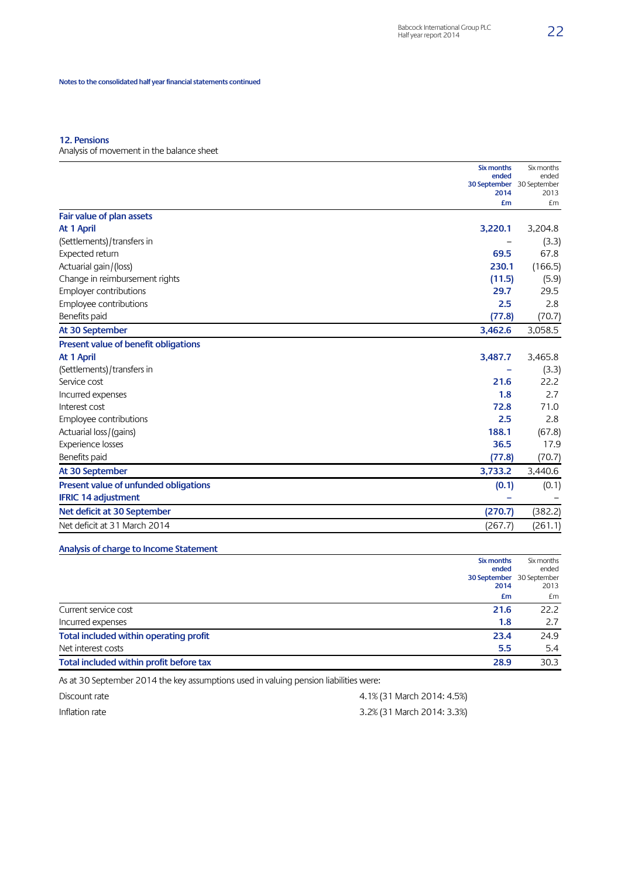### **12. Pensions**

Analysis of movement in the balance sheet

|                                       | Six months                         | Six months |
|---------------------------------------|------------------------------------|------------|
|                                       | ended<br>30 September 30 September | ended      |
|                                       | 2014                               | 2013       |
|                                       | £m                                 | £m         |
| Fair value of plan assets             |                                    |            |
| At 1 April                            | 3,220.1                            | 3,204.8    |
| (Settlements)/transfers in            |                                    | (3.3)      |
| Expected return                       | 69.5                               | 67.8       |
| Actuarial gain / (loss)               | 230.1                              | (166.5)    |
| Change in reimbursement rights        | (11.5)                             | (5.9)      |
| <b>Employer contributions</b>         | 29.7                               | 29.5       |
| Employee contributions                | 2.5                                | 2.8        |
| Benefits paid                         | (77.8)                             | (70.7)     |
| At 30 September                       | 3,462.6                            | 3,058.5    |
| Present value of benefit obligations  |                                    |            |
| At 1 April                            | 3,487.7                            | 3,465.8    |
| (Settlements)/transfers in            |                                    | (3.3)      |
| Service cost                          | 21.6                               | 22.2       |
| Incurred expenses                     | 1.8                                | 2.7        |
| Interest cost                         | 72.8                               | 71.0       |
| Employee contributions                | 2.5                                | 2.8        |
| Actuarial loss / (gains)              | 188.1                              | (67.8)     |
| Experience losses                     | 36.5                               | 17.9       |
| Benefits paid                         | (77.8)                             | (70.7)     |
| At 30 September                       | 3,733.2                            | 3,440.6    |
| Present value of unfunded obligations | (0.1)                              | (0.1)      |
| <b>IFRIC 14 adjustment</b>            |                                    |            |
| Net deficit at 30 September           | (270.7)                            | (382.2)    |
| Net deficit at 31 March 2014          | (267.7)                            | (261.1)    |

## **Analysis of charge to Income Statement**

|                                         | Six months | Six months                |
|-----------------------------------------|------------|---------------------------|
|                                         | ended      | ended                     |
|                                         |            | 30 September 30 September |
|                                         | 2014       | 2013                      |
|                                         | £m         | £m                        |
| Current service cost                    | 21.6       | 22.2                      |
| Incurred expenses                       | 1.8        | 2.7                       |
| Total included within operating profit  | 23.4       | 24.9                      |
| Net interest costs                      | 5.5        | 5.4                       |
| Total included within profit before tax | 28.9       | 30.3                      |

As at 30 September 2014 the key assumptions used in valuing pension liabilities were:

| Discount rate  | 4.1% (31 March 2014: 4.5%) |
|----------------|----------------------------|
| Inflation rate | 3.2% (31 March 2014: 3.3%) |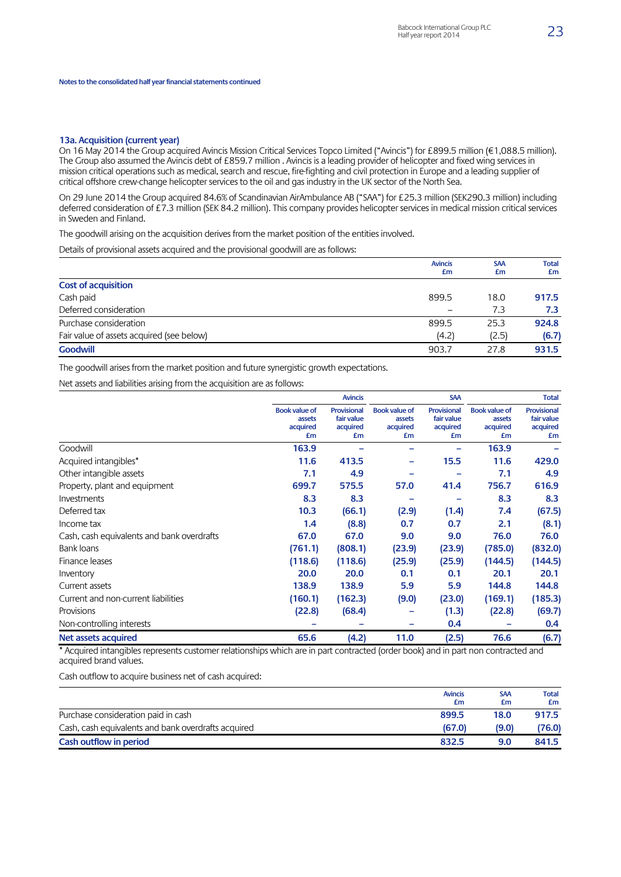#### **13a. Acquisition (current year)**

On 16 May 2014 the Group acquired Avincis Mission Critical Services Topco Limited ("Avincis") for £899.5 million (€1,088.5 million). The Group also assumed the Avincis debt of £859.7 million . Avincis is a leading provider of helicopter and fixed wing services in mission critical operations such as medical, search and rescue, fire-fighting and civil protection in Europe and a leading supplier of critical offshore crew-change helicopter services to the oil and gas industry in the UK sector of the North Sea.

On 29 June 2014 the Group acquired 84.6% of Scandinavian AirAmbulance AB ("SAA") for £25.3 million (SEK290.3 million) including deferred consideration of £7.3 million (SEK 84.2 million). This company provides helicopter services in medical mission critical services in Sweden and Finland.

The goodwill arising on the acquisition derives from the market position of the entities involved.

Details of provisional assets acquired and the provisional goodwill are as follows:

|                                           | <b>Avincis</b><br>£m | <b>SAA</b><br>£m | <b>Total</b><br>£m |
|-------------------------------------------|----------------------|------------------|--------------------|
| <b>Cost of acquisition</b>                |                      |                  |                    |
| Cash paid                                 | 899.5                | 18.0             | 917.5              |
| Deferred consideration                    | -                    | 7.3              | 7.3                |
| Purchase consideration                    | 899.5                | 25.3             | 924.8              |
| Fair value of assets acquired (see below) | (4.2)                | (2.5)            | (6.7)              |
| <b>Goodwill</b>                           | 903.7                | 27.8             | 931.5              |

The goodwill arises from the market position and future synergistic growth expectations.

Net assets and liabilities arising from the acquisition are as follows:

|                                            |                                                  | <b>Avincis</b>                              |                                                  | <b>SAA</b>                                  |                                                  | <b>Total</b>                                |
|--------------------------------------------|--------------------------------------------------|---------------------------------------------|--------------------------------------------------|---------------------------------------------|--------------------------------------------------|---------------------------------------------|
|                                            | <b>Book value of</b><br>assets<br>acquired<br>£m | Provisional<br>fair value<br>acquired<br>£m | <b>Book value of</b><br>assets<br>acquired<br>£m | Provisional<br>fair value<br>acquired<br>£m | <b>Book value of</b><br>assets<br>acquired<br>£m | Provisional<br>fair value<br>acquired<br>£m |
| Goodwill                                   | 163.9                                            |                                             |                                                  |                                             | 163.9                                            |                                             |
| Acquired intangibles*                      | 11.6                                             | 413.5                                       |                                                  | 15.5                                        | 11.6                                             | 429.0                                       |
| Other intangible assets                    | 7.1                                              | 4.9                                         |                                                  |                                             | 7.1                                              | 4.9                                         |
| Property, plant and equipment              | 699.7                                            | 575.5                                       | 57.0                                             | 41.4                                        | 756.7                                            | 616.9                                       |
| Investments                                | 8.3                                              | 8.3                                         |                                                  |                                             | 8.3                                              | 8.3                                         |
| Deferred tax                               | 10.3                                             | (66.1)                                      | (2.9)                                            | (1.4)                                       | 7.4                                              | (67.5)                                      |
| Income tax                                 | 1.4                                              | (8.8)                                       | 0.7                                              | 0.7                                         | 2.1                                              | (8.1)                                       |
| Cash, cash equivalents and bank overdrafts | 67.0                                             | 67.0                                        | 9.0                                              | 9.0                                         | 76.0                                             | 76.0                                        |
| Bank loans                                 | (761.1)                                          | (808.1)                                     | (23.9)                                           | (23.9)                                      | (785.0)                                          | (832.0)                                     |
| Finance leases                             | (118.6)                                          | (118.6)                                     | (25.9)                                           | (25.9)                                      | (144.5)                                          | (144.5)                                     |
| Inventory                                  | 20.0                                             | 20.0                                        | 0.1                                              | 0.1                                         | 20.1                                             | 20.1                                        |
| Current assets                             | 138.9                                            | 138.9                                       | 5.9                                              | 5.9                                         | 144.8                                            | 144.8                                       |
| Current and non-current liabilities        | (160.1)                                          | (162.3)                                     | (9.0)                                            | (23.0)                                      | (169.1)                                          | (185.3)                                     |
| Provisions                                 | (22.8)                                           | (68.4)                                      |                                                  | (1.3)                                       | (22.8)                                           | (69.7)                                      |
| Non-controlling interests                  |                                                  |                                             |                                                  | 0.4                                         |                                                  | 0.4                                         |
| Net assets acquired                        | 65.6                                             | (4.2)                                       | 11.0                                             | (2.5)                                       | 76.6                                             | (6.7)                                       |

\* Acquired intangibles represents customer relationships which are in part contracted (order book) and in part non contracted and acquired brand values.

Cash outflow to acquire business net of cash acquired:

|                                                     | <b>Avincis</b><br>£m | <b>SAA</b><br>£m | <b>Total</b><br>£m |
|-----------------------------------------------------|----------------------|------------------|--------------------|
| Purchase consideration paid in cash                 | 899.5                | 18.0             | 917.5              |
| Cash, cash equivalents and bank overdrafts acquired | (67.0)               | (9.0)            | (76.0)             |
| Cash outflow in period                              | 832.5                | 9.0              | 841.5              |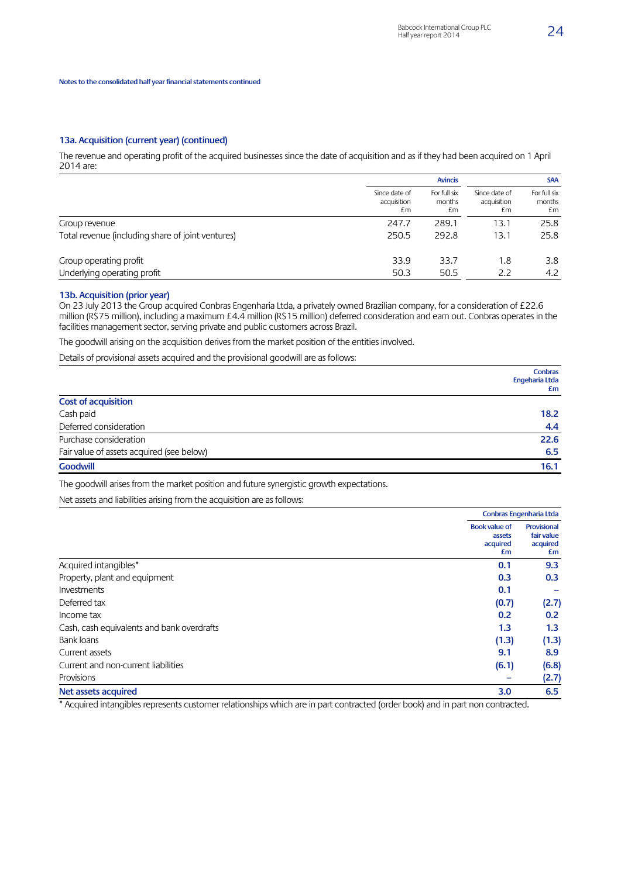#### **13a. Acquisition (current year) (continued)**

The revenue and operating profit of the acquired businesses since the date of acquisition and as if they had been acquired on 1 April 2014 are:

|                                                   |                                    | <b>Avincis</b>               | <b>SAA</b>                         |                              |  |
|---------------------------------------------------|------------------------------------|------------------------------|------------------------------------|------------------------------|--|
|                                                   | Since date of<br>acquisition<br>£m | For full six<br>months<br>£m | Since date of<br>acquisition<br>£m | For full six<br>months<br>£m |  |
| Group revenue                                     | 247.7                              | 289.1                        | 13.1                               | 25.8                         |  |
| Total revenue (including share of joint ventures) | 250.5                              | 292.8                        | 13.1                               | 25.8                         |  |
| Group operating profit                            | 33.9                               | 33.7                         | 1.8                                | 3.8                          |  |
| Underlying operating profit                       | 50.3                               | 50.5                         | 2.2                                | 4.2                          |  |

#### **13b. Acquisition (prior year)**

On 23 July 2013 the Group acquired Conbras Engenharia Ltda, a privately owned Brazilian company, for a consideration of £22.6 million (R\$75 million), including a maximum £4.4 million (R\$15 million) deferred consideration and earn out. Conbras operates in the facilities management sector, serving private and public customers across Brazil.

The goodwill arising on the acquisition derives from the market position of the entities involved.

Details of provisional assets acquired and the provisional goodwill are as follows:

|                                           | <b>Conbras</b><br>Engeharia Ltda |
|-------------------------------------------|----------------------------------|
|                                           | £m                               |
| <b>Cost of acquisition</b>                |                                  |
| Cash paid                                 | 18.2                             |
| Deferred consideration                    | 4.4                              |
| Purchase consideration                    | 22.6                             |
| Fair value of assets acquired (see below) | 6.5                              |
| <b>Goodwill</b>                           | 16.1                             |

The goodwill arises from the market position and future synergistic growth expectations.

Net assets and liabilities arising from the acquisition are as follows:

|                                            |                                                  | Conbras Engenharia Ltda                     |  |
|--------------------------------------------|--------------------------------------------------|---------------------------------------------|--|
|                                            | <b>Book value of</b><br>assets<br>acquired<br>£m | Provisional<br>fair value<br>acquired<br>£m |  |
| Acquired intangibles*                      | 0.1                                              | 9.3                                         |  |
| Property, plant and equipment              | 0.3                                              | 0.3                                         |  |
| Investments                                | 0.1                                              |                                             |  |
| Deferred tax                               | (0.7)                                            | (2.7)                                       |  |
| Income tax                                 | 0.2                                              | 0.2                                         |  |
| Cash, cash equivalents and bank overdrafts | 1.3                                              | 1.3                                         |  |
| Bank loans                                 | (1.3)                                            | (1.3)                                       |  |
| Current assets                             | 9.1                                              | 8.9                                         |  |
| Current and non-current liabilities        | (6.1)                                            | (6.8)                                       |  |
| Provisions                                 |                                                  | (2.7)                                       |  |
| Net assets acquired                        | 3.0                                              | 6.5                                         |  |

\* Acquired intangibles represents customer relationships which are in part contracted (order book) and in part non contracted.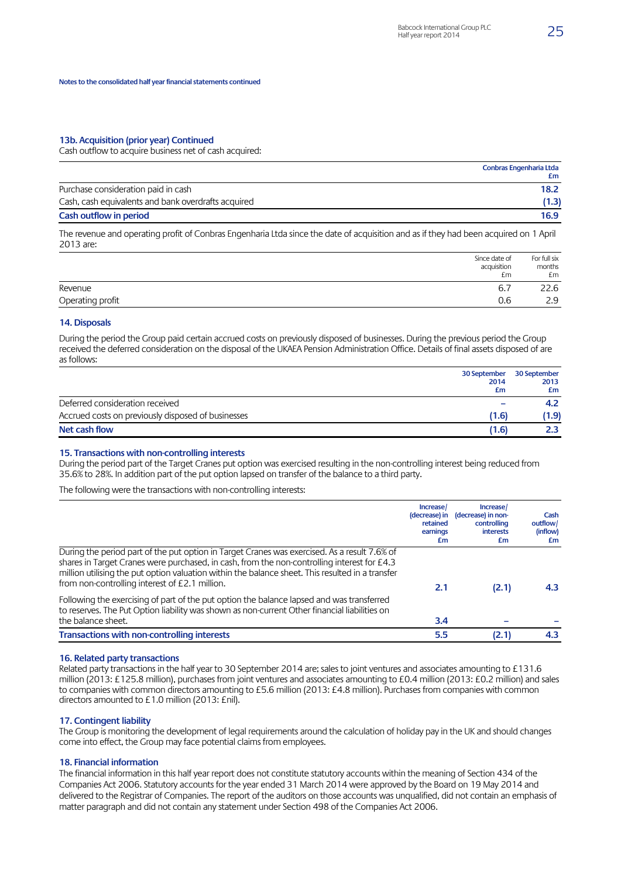#### **13b. Acquisition (prior year) Continued**

Cash outflow to acquire business net of cash acquired:

|                                                     | Conbras Engenharia Ltda<br>£m |
|-----------------------------------------------------|-------------------------------|
| Purchase consideration paid in cash                 | 18.2                          |
| Cash, cash equivalents and bank overdrafts acquired | (1.3)                         |
| Cash outflow in period                              | 16.9                          |

The revenue and operating profit of Conbras Engenharia Ltda since the date of acquisition and as if they had been acquired on 1 April 2013 are:

|                  | Since date of<br>acquisition<br>£m | For full six<br>months<br>£m |
|------------------|------------------------------------|------------------------------|
| Revenue          | 6.7                                | 22.6                         |
| Operating profit | 0.6                                | ЭQ<br>د.ء                    |

#### **14. Disposals**

During the period the Group paid certain accrued costs on previously disposed of businesses. During the previous period the Group received the deferred consideration on the disposal of the UKAEA Pension Administration Office. Details of final assets disposed of are as follows:

|                                                    | 30 September | 30 September |
|----------------------------------------------------|--------------|--------------|
|                                                    | 2014         | 2013         |
|                                                    | £m           | £m           |
| Deferred consideration received                    |              | 4.2          |
| Accrued costs on previously disposed of businesses | (1.6)        | 1.9)         |
| Net cash flow                                      | (1.6)        |              |

#### **15. Transactions with non-controlling interests**

During the period part of the Target Cranes put option was exercised resulting in the non-controlling interest being reduced from 35.6% to 28%. In addition part of the put option lapsed on transfer of the balance to a third party.

The following were the transactions with non-controlling interests:

|                                                                                                                                                                                                                                                                                                                                                   | Increase<br>(decrease) in<br>retained<br>earnings<br>£m | Increase/<br>(decrease) in non-<br>controlling<br><b>interests</b><br>£m | Cash<br>outflow/<br>(inflow)<br>£m |
|---------------------------------------------------------------------------------------------------------------------------------------------------------------------------------------------------------------------------------------------------------------------------------------------------------------------------------------------------|---------------------------------------------------------|--------------------------------------------------------------------------|------------------------------------|
| During the period part of the put option in Target Cranes was exercised. As a result 7.6% of<br>shares in Target Cranes were purchased, in cash, from the non-controlling interest for £4.3<br>million utilising the put option valuation within the balance sheet. This resulted in a transfer<br>from non-controlling interest of £2.1 million. | 2.1                                                     | (2.1)                                                                    | 4.3                                |
| Following the exercising of part of the put option the balance lapsed and was transferred<br>to reserves. The Put Option liability was shown as non-current Other financial liabilities on<br>the balance sheet.                                                                                                                                  | 3.4                                                     |                                                                          |                                    |
| Transactions with non-controlling interests                                                                                                                                                                                                                                                                                                       | 5.5                                                     | (2.1)                                                                    | 4.3                                |

#### **16. Related party transactions**

Related party transactions in the half year to 30 September 2014 are; sales to joint ventures and associates amounting to £131.6 million (2013: £125.8 million), purchases from joint ventures and associates amounting to £0.4 million (2013: £0.2 million) and sales to companies with common directors amounting to £5.6 million (2013: £4.8 million). Purchases from companies with common directors amounted to £1.0 million (2013: £nil).

#### **17. Contingent liability**

The Group is monitoring the development of legal requirements around the calculation of holiday pay in the UK and should changes come into effect, the Group may face potential claims from employees.

#### **18. Financial information**

The financial information in this half year report does not constitute statutory accounts within the meaning of Section 434 of the Companies Act 2006. Statutory accounts for the year ended 31 March 2014 were approved by the Board on 19 May 2014 and delivered to the Registrar of Companies. The report of the auditors on those accounts was unqualified, did not contain an emphasis of matter paragraph and did not contain any statement under Section 498 of the Companies Act 2006.